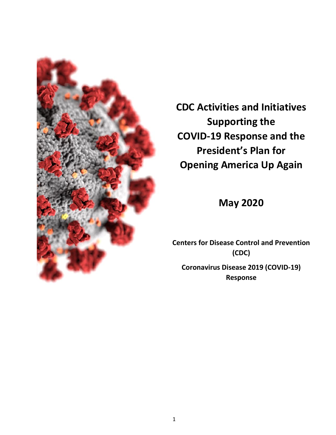

**CDC Activities and Initiatives Supporting the COVID-19 Response and the President's Plan for Opening America Up Again** 

**May 2020**

**Centers for Disease Control and Prevention (CDC) Coronavirus Disease 2019 (COVID-19) Response**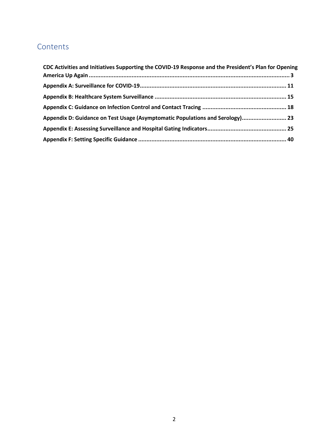# **Contents**

| CDC Activities and Initiatives Supporting the COVID-19 Response and the President's Plan for Opening |  |
|------------------------------------------------------------------------------------------------------|--|
|                                                                                                      |  |
|                                                                                                      |  |
|                                                                                                      |  |
| Appendix D: Guidance on Test Usage (Asymptomatic Populations and Serology) 23                        |  |
|                                                                                                      |  |
|                                                                                                      |  |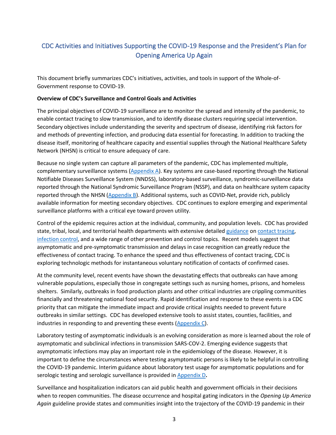# <span id="page-2-0"></span>CDC Activities and Initiatives Supporting the COVID-19 Response and the President's Plan for Opening America Up Again

This document briefly summarizes CDC's initiatives, activities, and tools in support of the Whole-of-Government response to COVID-19.

### **Overview of CDC's Surveillance and Control Goals and Activities**

The principal objectives of COVID-19 surveillance are to monitor the spread and intensity of the pandemic, to enable contact tracing to slow transmission, and to identify disease clusters requiring special intervention. Secondary objectives include understanding the severity and spectrum of disease, identifying risk factors for and methods of preventing infection, and producing data essential for forecasting. In addition to tracking the disease itself, monitoring of healthcare capacity and essential supplies through the National Healthcare Safety Network (NHSN) is critical to ensure adequacy of care.

Because no single system can capture all parameters of the pandemic, CDC has implemented multiple, complementary surveillance systems  $(Appendix A)$ . Key systems are case-based reporting through the National Notifiable Diseases Surveillance System (NNDSS), laboratory-based surveillance, syndromic-surveillance data reported through the National Syndromic Surveillance Program (NSSP), and data on healthcare system capacity reported through the NHSN [\(Appendix B\)](#page-14-0). Additional systems, such as COVID-Net, provide rich, publicly available information for meeting secondary objectives. CDC continues to explore emerging and experimental surveillance platforms with a critical eye toward proven utility.

Control of the epidemic requires action at the individual, community, and population levels. CDC has provided state, tribal, local, and territorial health departments with extensive detailed [guidance](https://www.cdc.gov/coronavirus/2019-ncov/php/open-america/index.html) o[n contact tracing,](https://www.cdc.gov/coronavirus/2019-ncov/php/open-america/contact-tracing.html) [infection control,](https://www.cdc.gov/coronavirus/2019-ncov/php/open-america/infection-control.html) and a wide range of other prevention and control topics. Recent models suggest that asymptomatic and pre-symptomatic transmission and delays in case recognition can greatly reduce the effectiveness of contact tracing. To enhance the speed and thus effectiveness of contact tracing, CDC is exploring technologic methods for instantaneous voluntary notification of contacts of confirmed cases.

At the community level, recent events have shown the devastating effects that outbreaks can have among vulnerable populations, especially those in congregate settings such as nursing homes, prisons, and homeless shelters. Similarly, outbreaks in food production plants and other critical industries are crippling communities financially and threatening national food security. Rapid identification and response to these events is a CDC priority that can mitigate the immediate impact and provide critical insights needed to prevent future outbreaks in similar settings. CDC has developed extensive tools to assist states, counties, facilities, and industries in responding to and preventing these events [\(Appendix C\)](#page-17-0).

Laboratory testing of asymptomatic individuals is an evolving consideration as more is learned about the role of asymptomatic and subclinical infections in transmission SARS-COV-2. Emerging evidence suggests that asymptomatic infections may play an important role in the epidemiology of the disease. However, it is important to define the circumstances where testing asymptomatic persons is likely to be helpful in controlling the COVID-19 pandemic. Interim guidance about laboratory test usage for asymptomatic populations and for serologic testing and serologic surveillance is provided in [Appendix D](#page-22-0)**.** 

Surveillance and hospitalization indicators can aid public health and government officials in their decisions when to reopen communities. The disease occurrence and hospital gating indicators in the *Opening Up America Again* guideline provide states and communities insight into the trajectory of the COVID-19 pandemic in their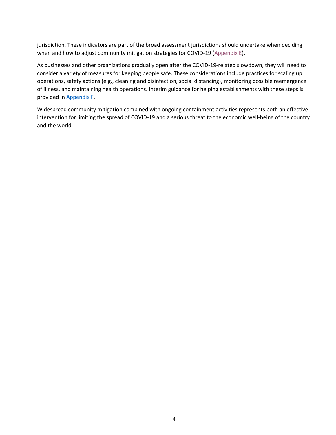jurisdiction. These indicators are part of the broad assessment jurisdictions should undertake when deciding when and how to adjust community mitigation strategies for COVID-19 [\(Appendix E\)](#page-24-0).

As businesses and other organizations gradually open after the COVID-19-related slowdown, they will need to consider a variety of measures for keeping people safe. These considerations include practices for scaling up operations, safety actions (e.g., cleaning and disinfection, social distancing), monitoring possible reemergence of illness, and maintaining health operations. Interim guidance for helping establishments with these steps is provided i[n Appendix F.](#page-39-0)

Widespread community mitigation combined with ongoing containment activities represents both an effective intervention for limiting the spread of COVID-19 and a serious threat to the economic well-being of the country and the world.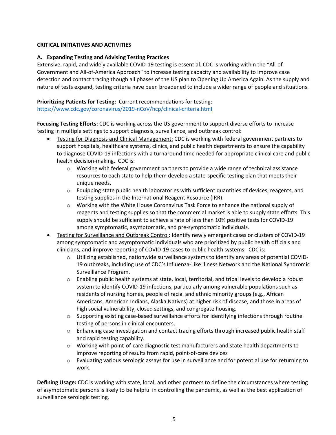### **CRITICAL INITIATIVES AND ACTIVITIES**

### **A. Expanding Testing and Advising Testing Practices**

Extensive, rapid, and widely available COVID-19 testing is essential. CDC is working within the "All-of-Government and All-of-America Approach" to increase testing capacity and availability to improve case detection and contact tracing though all phases of the US plan to Opening Up America Again. As the supply and nature of tests expand, testing criteria have been broadened to include a wider range of people and situations.

# **Prioritizing Patients for Testing:** Current recommendations for testing:

<https://www.cdc.gov/coronavirus/2019-nCoV/hcp/clinical-criteria.html>

**Focusing Testing Efforts**: CDC is working across the US government to support diverse efforts to increase testing in multiple settings to support diagnosis, surveillance, and outbreak control:

- Testing for Diagnosis and Clinical Management: CDC is working with federal government partners to support hospitals, healthcare systems, clinics, and public health departments to ensure the capability to diagnose COVID-19 infections with a turnaround time needed for appropriate clinical care and public health decision-making. CDC is:
	- $\circ$  Working with federal government partners to provide a wide range of technical assistance resources to each state to help them develop a state-specific testing plan that meets their unique needs.
	- $\circ$  Equipping state public health laboratories with sufficient quantities of devices, reagents, and testing supplies in the International Reagent Resource (IRR).
	- o Working with the White House Coronavirus Task Force to enhance the national supply of reagents and testing supplies so that the commercial market is able to supply state efforts. This supply should be sufficient to achieve a rate of less than 10% positive tests for COVID-19 among symptomatic, asymptomatic, and pre-symptomatic individuals.
- Testing for Surveillance and Outbreak Control: Identify newly emergent cases or clusters of COVID-19 among symptomatic and asymptomatic individuals who are prioritized by public health officials and clinicians, and improve reporting of COVID-19 cases to public health systems. CDC is:
	- $\circ$  Utilizing established, nationwide surveillance systems to identify any areas of potential COVID-19 outbreaks, including use of CDC's Influenza-Like Illness Network and the National Syndromic Surveillance Program.
	- $\circ$  Enabling public health systems at state, local, territorial, and tribal levels to develop a robust system to identify COVID-19 infections, particularly among vulnerable populations such as residents of nursing homes, people of racial and ethnic minority groups (e.g., African Americans, American Indians, Alaska Natives) at higher risk of disease, and those in areas of high social vulnerability, closed settings, and congregate housing.
	- $\circ$  Supporting existing case-based surveillance efforts for identifying infections through routine testing of persons in clinical encounters.
	- o Enhancing case investigation and contact tracing efforts through increased public health staff and rapid testing capability.
	- o Working with point-of-care diagnostic test manufacturers and state health departments to improve reporting of results from rapid, point-of-care devices
	- $\circ$  Evaluating various serologic assays for use in surveillance and for potential use for returning to work.

**Defining Usage:** CDC is working with state, local, and other partners to define the circumstances where testing of asymptomatic persons is likely to be helpful in controlling the pandemic, as well as the best application of surveillance serologic testing.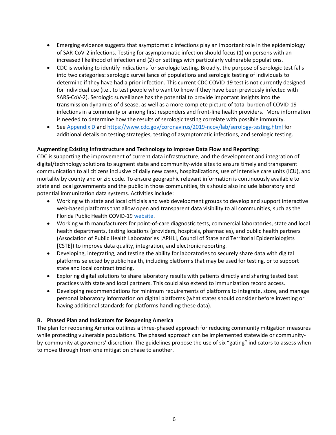- Emerging evidence suggests that asymptomatic infections play an important role in the epidemiology of SAR-CoV-2 infections. Testing for asymptomatic infection should focus (1) on persons with an increased likelihood of infection and (2) on settings with particularly vulnerable populations.
- CDC is working to identify indications for serologic testing. Broadly, the purpose of serologic test falls into two categories: serologic surveillance of populations and serologic testing of individuals to determine if they have had a prior infection. This current CDC COVID-19 test is not currently designed for individual use (i.e., to test people who want to know if they have been previously infected with SARS-CoV-2). Serologic surveillance has the potential to provide important insights into the transmission dynamics of disease, as well as a more complete picture of total burden of COVID-19 infections in a community or among first responders and front-line health providers. More information is needed to determine how the results of serologic testing correlate with possible immunity.
- See [Appendix D](#page-22-0) an[d https://www.cdc.gov/coronavirus/2019-ncov/lab/serology-testing.html](https://www.cdc.gov/coronavirus/2019-ncov/lab/serology-testing.html) for additional details on testing strategies, testing of asymptomatic infections, and serologic testing.

### **Augmenting Existing Infrastructure and Technology to Improve Data Flow and Reporting:**

CDC is supporting the improvement of current data infrastructure, and the development and integration of digital/technology solutions to augment state and community-wide sites to ensure timely and transparent communication to all citizens inclusive of daily new cases, hospitalizations, use of intensive care units (ICU), and mortality by county and or zip code. To ensure geographic relevant information is continuously available to state and local governments and the public in those communities, this should also include laboratory and potential immunization data systems. Activities include:

- Working with state and local officials and web development groups to develop and support interactive web-based platforms that allow open and transparent data visibility to all communities, such as the Florida Public Health COVID-19 [website.](https://floridahealthcovid19.gov/)
- Working with manufacturers for point-of-care diagnostic tests, commercial laboratories, state and local health departments, testing locations (providers, hospitals, pharmacies), and public health partners (Association of Public Health Laboratories [APHL], Council of State and Territorial Epidemiologists [CSTE]) to improve data quality, integration, and electronic reporting.
- Developing, integrating, and testing the ability for laboratories to securely share data with digital platforms selected by public health, including platforms that may be used for testing, or to support state and local contract tracing.
- Exploring digital solutions to share laboratory results with patients directly and sharing tested best practices with state and local partners. This could also extend to immunization record access.
- Developing recommendations for minimum requirements of platforms to integrate, store, and manage personal laboratory information on digital platforms (what states should consider before investing or having additional standards for platforms handling these data).

### **B. Phased Plan and Indicators for Reopening America**

The plan for reopening America outlines a three-phased approach for reducing community mitigation measures while protecting vulnerable populations. The phased approach can be implemented statewide or communityby-community at governors' discretion. The guidelines propose the use of six "gating" indicators to assess when to move through from one mitigation phase to another.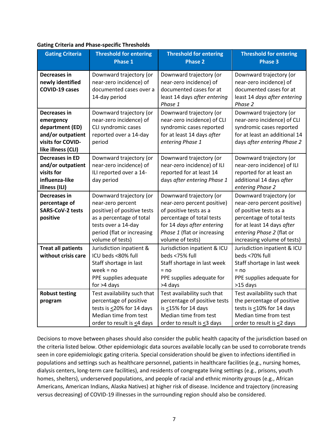### **Gating Criteria and Phase-specific Thresholds**

| <b>Gating Criteria</b>                                                                                              | <b>Threshold for entering</b><br><b>Phase 1</b>                                                                                                                                  | <b>Threshold for entering</b><br><b>Phase 2</b>                                                                                                                                                | <b>Threshold for entering</b><br><b>Phase 3</b>                                                                                                                                                         |
|---------------------------------------------------------------------------------------------------------------------|----------------------------------------------------------------------------------------------------------------------------------------------------------------------------------|------------------------------------------------------------------------------------------------------------------------------------------------------------------------------------------------|---------------------------------------------------------------------------------------------------------------------------------------------------------------------------------------------------------|
| <b>Decreases in</b><br>newly identified<br><b>COVID-19 cases</b>                                                    | Downward trajectory (or<br>near-zero incidence) of<br>documented cases over a<br>14-day period                                                                                   | Downward trajectory (or<br>near-zero incidence) of<br>documented cases for at<br>least 14 days after entering<br>Phase 1                                                                       | Downward trajectory (or<br>near-zero incidence) of<br>documented cases for at<br>least 14 days after entering<br>Phase 2                                                                                |
| <b>Decreases in</b><br>emergency<br>department (ED)<br>and/or outpatient<br>visits for COVID-<br>like illness (CLI) | Downward trajectory (or<br>near-zero incidence) of<br>CLI syndromic cases<br>reported over a 14-day<br>period                                                                    | Downward trajectory (or<br>near-zero incidence) of CLI<br>syndromic cases reported<br>for at least 14 days after<br>entering Phase 1                                                           | Downward trajectory (or<br>near-zero incidence) of CLI<br>syndromic cases reported<br>for at least an additional 14<br>days after entering Phase 2                                                      |
| <b>Decreases in ED</b><br>and/or outpatient<br>visits for<br>influenza-like<br>illness (ILI)                        | Downward trajectory (or<br>near-zero incidence) of<br>ILI reported over a 14-<br>day period                                                                                      | Downward trajectory (or<br>near-zero incidence) of ILI<br>reported for at least 14<br>days after entering Phase 1                                                                              | Downward trajectory (or<br>near-zero incidence) of ILI<br>reported for at least an<br>additional 14 days after<br>entering Phase 2                                                                      |
| Decreases in<br>percentage of<br><b>SARS-CoV-2 tests</b><br>positive                                                | Downward trajectory (or<br>near-zero percent<br>positive) of positive tests<br>as a percentage of total<br>tests over a 14-day<br>period (flat or increasing<br>volume of tests) | Downward trajectory (or<br>near-zero percent positive)<br>of positive tests as a<br>percentage of total tests<br>for 14 days after entering<br>Phase 1 (flat or increasing<br>volume of tests) | Downward trajectory (or<br>near-zero percent positive)<br>of positive tests as a<br>percentage of total tests<br>for at least 14 days after<br>entering Phase 2 (flat or<br>increasing volume of tests) |
| <b>Treat all patients</b><br>without crisis care                                                                    | Jurisdiction inpatient &<br>ICU beds <80% full<br>Staff shortage in last<br>$week = no$<br>PPE supplies adequate<br>for $>4$ days                                                | Jurisdiction inpatient & ICU<br>beds <75% full<br>Staff shortage in last week<br>$= no$<br>PPE supplies adequate for<br>>4 days                                                                | Jurisdiction inpatient & ICU<br>beds <70% full<br>Staff shortage in last week<br>$= no$<br>PPE supplies adequate for<br>>15 days                                                                        |
| <b>Robust testing</b><br>program                                                                                    | Test availability such that<br>percentage of positive<br>tests is <20% for 14 days<br>Median time from test<br>order to result is <4 days                                        | Test availability such that<br>percentage of positive tests<br>is <15% for 14 days<br>Median time from test<br>order to result is <3 days                                                      | Test availability such that<br>the percentage of positive<br>tests is <10% for 14 days<br>Median time from test<br>order to result is <2 days                                                           |

Decisions to move between phases should also consider the public health capacity of the jurisdiction based on the criteria listed below. Other epidemiologic data sources available locally can be used to corroborate trends seen in core epidemiologic gating criteria. Special consideration should be given to infections identified in populations and settings such as healthcare personnel, patients in healthcare facilities (e.g., nursing homes, dialysis centers, long-term care facilities), and residents of congregate living settings (e.g., prisons, youth homes, shelters), underserved populations, and people of racial and ethnic minority groups (e.g., African Americans, American Indians, Alaska Natives) at higher risk of disease. Incidence and trajectory (increasing versus decreasing) of COVID-19 illnesses in the surrounding region should also be considered.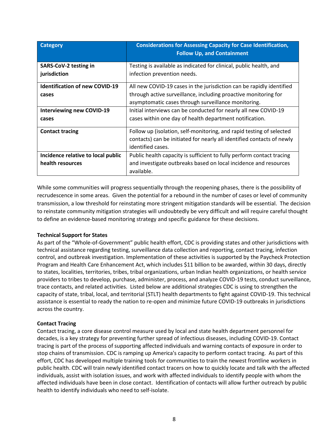| <b>Category</b>                       | <b>Considerations for Assessing Capacity for Case Identification,</b><br><b>Follow Up, and Containment</b> |  |
|---------------------------------------|------------------------------------------------------------------------------------------------------------|--|
|                                       |                                                                                                            |  |
| SARS-CoV-2 testing in                 | Testing is available as indicated for clinical, public health, and                                         |  |
| jurisdiction                          | infection prevention needs.                                                                                |  |
| <b>Identification of new COVID-19</b> | All new COVID-19 cases in the jurisdiction can be rapidly identified                                       |  |
| cases                                 | through active surveillance, including proactive monitoring for                                            |  |
|                                       | asymptomatic cases through surveillance monitoring.                                                        |  |
| <b>Interviewing new COVID-19</b>      | Initial interviews can be conducted for nearly all new COVID-19                                            |  |
| cases                                 | cases within one day of health department notification.                                                    |  |
| <b>Contact tracing</b>                | Follow up (isolation, self-monitoring, and rapid testing of selected                                       |  |
|                                       | contacts) can be initiated for nearly all identified contacts of newly                                     |  |
|                                       | identified cases.                                                                                          |  |
| Incidence relative to local public    | Public health capacity is sufficient to fully perform contact tracing                                      |  |
| health resources                      | and investigate outbreaks based on local incidence and resources                                           |  |
|                                       | available.                                                                                                 |  |

While some communities will progress sequentially through the reopening phases, there is the possibility of recrudescence in some areas. Given the potential for a rebound in the number of cases or level of community transmission, a low threshold for reinstating more stringent mitigation standards will be essential. The decision to reinstate community mitigation strategies will undoubtedly be very difficult and will require careful thought to define an evidence-based monitoring strategy and specific guidance for these decisions.

### **Technical Support for States**

As part of the "Whole-of-Government" public health effort, CDC is providing states and other jurisdictions with technical assistance regarding testing, surveillance data collection and reporting, contact tracing, infection control, and outbreak investigation. Implementation of these activities is supported by the Paycheck Protection Program and Health Care Enhancement Act, which includes \$11 billion to be awarded, within 30 days, directly to states, localities, territories, tribes, tribal organizations, urban Indian health organizations, or health service providers to tribes to develop, purchase, administer, process, and analyze COVID-19 tests, conduct surveillance, trace contacts, and related activities. Listed below are additional strategies CDC is using to strengthen the capacity of state, tribal, local, and territorial (STLT) health departments to fight against COVID-19. This technical assistance is essential to ready the nation to re-open and minimize future COVID-19 outbreaks in jurisdictions across the country.

### **Contact Tracing**

Contact tracing, a core disease control measure used by local and state health department personnel for decades, is a key strategy for preventing further spread of infectious diseases, including COVID-19. Contact tracing is part of the process of supporting affected individuals and warning contacts of exposure in order to stop chains of transmission. CDC is ramping up America's capacity to perform contact tracing. As part of this effort, CDC has developed multiple training tools for communities to train the newest frontline workers in public health. CDC will train newly identified contact tracers on how to quickly locate and talk with the affected individuals, assist with isolation issues, and work with affected individuals to identify people with whom the affected individuals have been in close contact. Identification of contacts will allow further outreach by public health to identify individuals who need to self-isolate.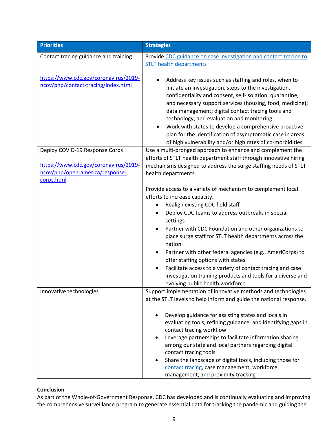| <b>Priorities</b>                                                                      | <b>Strategies</b>                                                                                                                                                                                                                                                                                                                                                                                                                                                                                                                                                                                     |
|----------------------------------------------------------------------------------------|-------------------------------------------------------------------------------------------------------------------------------------------------------------------------------------------------------------------------------------------------------------------------------------------------------------------------------------------------------------------------------------------------------------------------------------------------------------------------------------------------------------------------------------------------------------------------------------------------------|
| Contact tracing guidance and training                                                  | Provide CDC guidance on case investigation and contact tracing to<br><b>STLT health departments</b>                                                                                                                                                                                                                                                                                                                                                                                                                                                                                                   |
| https://www.cdc.gov/coronavirus/2019-<br>ncov/php/contact-tracing/index.html           | Address key issues such as staffing and roles, when to<br>initiate an investigation, steps to the investigation,<br>confidentiality and consent, self-isolation, quarantine,<br>and necessary support services (housing, food, medicine);<br>data management; digital contact tracing tools and<br>technology; and evaluation and monitoring<br>Work with states to develop a comprehensive proactive<br>plan for the identification of asymptomatic case in areas<br>of high vulnerability and/or high rates of co-morbidities                                                                       |
| Deploy COVID-19 Response Corps                                                         | Use a multi-pronged approach to enhance and complement the                                                                                                                                                                                                                                                                                                                                                                                                                                                                                                                                            |
| https://www.cdc.gov/coronavirus/2019-<br>ncov/php/open-america/response-<br>corps.html | efforts of STLT health department staff through innovative hiring<br>mechanisms designed to address the surge staffing needs of STLT<br>health departments.                                                                                                                                                                                                                                                                                                                                                                                                                                           |
|                                                                                        | Provide access to a variety of mechanism to complement local<br>efforts to increase capacity.<br>Realign existing CDC field staff<br>Deploy CDC teams to address outbreaks in special<br>settings<br>Partner with CDC Foundation and other organizations to<br>place surge staff for STLT health departments across the<br>nation<br>Partner with other federal agencies (e.g., AmeriCorps) to<br>offer staffing options with states<br>Facilitate access to a variety of contact tracing and case<br>investigation training products and tools for a diverse and<br>evolving public health workforce |
| Innovative technologies                                                                | Support implementation of innovative methods and technologies<br>at the STLT levels to help inform and guide the national response.<br>Develop guidance for assisting states and locals in                                                                                                                                                                                                                                                                                                                                                                                                            |
|                                                                                        | evaluating tools, refining guidance, and identifying gaps in<br>contact tracing workflow<br>Leverage partnerships to facilitate information sharing<br>$\bullet$<br>among our state and local partners regarding digital<br>contact tracing tools<br>Share the landscape of digital tools, including those for<br>contact tracing, case management, workforce<br>management, and proximity tracking                                                                                                                                                                                                   |

### **Conclusion**

As part of the Whole-of-Government Response, CDC has developed and is continually evaluating and improving the comprehensive surveillance program to generate essential data for tracking the pandemic and guiding the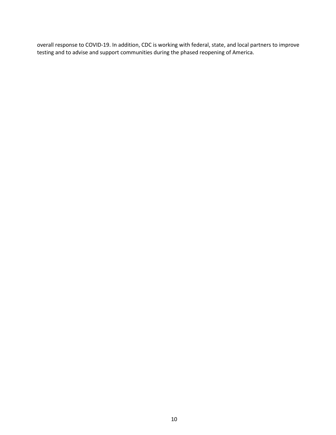overall response to COVID-19. In addition, CDC is working with federal, state, and local partners to improve testing and to advise and support communities during the phased reopening of America.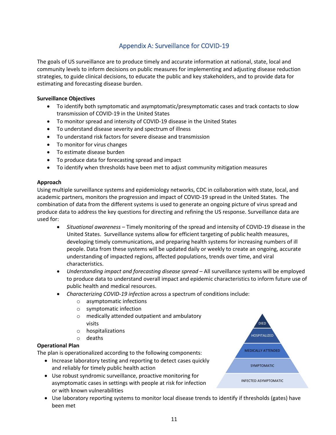# Appendix A: Surveillance for COVID-19

<span id="page-10-0"></span>The goals of US surveillance are to produce timely and accurate information at national, state, local and community levels to inform decisions on public measures for implementing and adjusting disease reduction strategies, to guide clinical decisions, to educate the public and key stakeholders, and to provide data for estimating and forecasting disease burden.

### **Surveillance Objectives**

- To identify both symptomatic and asymptomatic/presymptomatic cases and track contacts to slow transmission of COVID-19 in the United States
- To monitor spread and intensity of COVID-19 disease in the United States
- To understand disease severity and spectrum of illness
- To understand risk factors for severe disease and transmission
- To monitor for virus changes
- To estimate disease burden
- To produce data for forecasting spread and impact
- To identify when thresholds have been met to adjust community mitigation measures

#### **Approach**

Using multiple surveillance systems and epidemiology networks, CDC in collaboration with state, local, and academic partners, monitors the progression and impact of COVID-19 spread in the United States. The combination of data from the different systems is used to generate an ongoing picture of virus spread and produce data to address the key questions for directing and refining the US response. Surveillance data are used for:

- *Situational awareness* Timely monitoring of the spread and intensity of COVID-19 disease in the United States. Surveillance systems allow for efficient targeting of public health measures, developing timely communications, and preparing health systems for increasing numbers of ill people. Data from these systems will be updated daily or weekly to create an ongoing, accurate understanding of impacted regions, affected populations, trends over time, and viral characteristics.
- *Understanding impact and forecasting disease spread* All surveillance systems will be employed to produce data to understand overall impact and epidemic characteristics to inform future use of public health and medical resources.
- *Characterizing COVID-19 infection* across a spectrum of conditions include:
	- o asymptomatic infections
	- o symptomatic infection
	- o medically attended outpatient and ambulatory visits
	- o hospitalizations
	- o deaths

### **Operational Plan**

The plan is operationalized according to the following components:

- Increase laboratory testing and reporting to detect cases quickly and reliably for timely public health action
- Use robust syndromic surveillance, proactive monitoring for asymptomatic cases in settings with people at risk for infection or with known vulnerabilities
- Use laboratory reporting systems to monitor local disease trends to identify if thresholds (gates) have been met

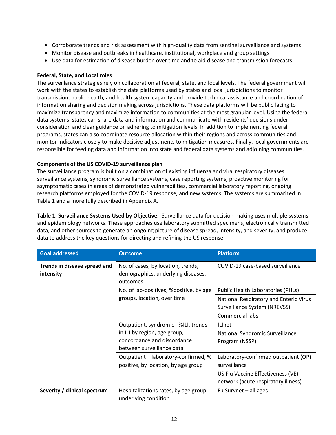- Corroborate trends and risk assessment with high-quality data from sentinel surveillance and systems
- Monitor disease and outbreaks in healthcare, institutional, workplace and group settings
- Use data for estimation of disease burden over time and to aid disease and transmission forecasts

#### **Federal, State, and Local roles**

The surveillance strategies rely on collaboration at federal, state, and local levels. The federal government will work with the states to establish the data platforms used by states and local jurisdictions to monitor transmission, public health, and health system capacity and provide technical assistance and coordination of information sharing and decision making across jurisdictions. These data platforms will be public facing to maximize transparency and maximize information to communities at the most granular level. Using the federal data systems, states can share data and information and communicate with residents' decisions under consideration and clear guidance on adhering to mitigation levels. In addition to implementing federal programs, states can also coordinate resource allocation within their regions and across communities and monitor indicators closely to make decisive adjustments to mitigation measures. Finally, local governments are responsible for feeding data and information into state and federal data systems and adjoining communities.

### **Components of the US COVID-19 surveillance plan**

The surveillance program is built on a combination of existing influenza and viral respiratory diseases surveillance systems, syndromic surveillance systems, case reporting systems, proactive monitoring for asymptomatic cases in areas of demonstrated vulnerabilities, commercial laboratory reporting, ongoing research platforms employed for the COVID-19 response, and new systems. The systems are summarized in Table 1 and a more fully described in Appendix A.

**Table 1. Surveillance Systems Used by Objective.** Surveillance data for decision-making uses multiple systems and epidemiology networks. These approaches use laboratory submitted specimens, electronically transmitted data, and other sources to generate an ongoing picture of disease spread, intensity, and severity, and produce data to address the key questions for directing and refining the US response.

| <b>Goal addressed</b>                     | <b>Outcome</b>                                                                           | <b>Platform</b>                                                          |
|-------------------------------------------|------------------------------------------------------------------------------------------|--------------------------------------------------------------------------|
| Trends in disease spread and<br>intensity | No. of cases, by location, trends,<br>demographics, underlying diseases,<br>outcomes     | COVID-19 case-based surveillance                                         |
|                                           | No. of lab-positives; % positive, by age                                                 | Public Health Laboratories (PHLs)                                        |
|                                           | groups, location, over time                                                              | National Respiratory and Enteric Virus<br>Surveillance System (NREVSS)   |
|                                           |                                                                                          | Commercial labs                                                          |
|                                           | Outpatient, syndromic - %ILI, trends                                                     | <b>ILInet</b>                                                            |
|                                           | in ILI by region, age group,<br>concordance and discordance<br>between surveillance data | National Syndromic Surveillance<br>Program (NSSP)                        |
|                                           | Outpatient – laboratory-confirmed, %<br>positive, by location, by age group              | Laboratory-confirmed outpatient (OP)<br>surveillance                     |
|                                           |                                                                                          | US Flu Vaccine Effectiveness (VE)<br>network (acute respiratory illness) |
| Severity / clinical spectrum              | Hospitalizations rates, by age group,<br>underlying condition                            | FluSurvnet - all ages                                                    |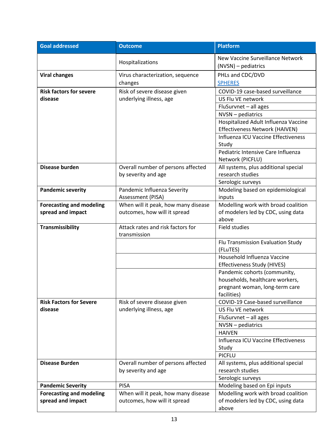| <b>Goal addressed</b>           | <b>Outcome</b>                      | <b>Platform</b>                             |
|---------------------------------|-------------------------------------|---------------------------------------------|
|                                 |                                     | New Vaccine Surveillance Network            |
|                                 | Hospitalizations                    | (NVSN) - pediatrics                         |
| <b>Viral changes</b>            | Virus characterization, sequence    | PHLs and CDC/DVD                            |
|                                 | changes                             | <b>SPHERES</b>                              |
| <b>Risk factors for severe</b>  | Risk of severe disease given        | COVID-19 case-based surveillance            |
| disease                         | underlying illness, age             | US Flu VE network                           |
|                                 |                                     | FluSurvnet - all ages                       |
|                                 |                                     | NVSN - pediatrics                           |
|                                 |                                     | Hospitalized Adult Influenza Vaccine        |
|                                 |                                     | Effectiveness Network (HAIVEN)              |
|                                 |                                     | Influenza ICU Vaccine Effectiveness         |
|                                 |                                     | Study                                       |
|                                 |                                     | Pediatric Intensive Care Influenza          |
|                                 |                                     | Network (PICFLU)                            |
| Disease burden                  | Overall number of persons affected  | All systems, plus additional special        |
|                                 | by severity and age                 | research studies                            |
|                                 |                                     | Serologic surveys                           |
| <b>Pandemic severity</b>        | Pandemic Influenza Severity         | Modeling based on epidemiological           |
|                                 | Assessment (PISA)                   | inputs                                      |
| <b>Forecasting and modeling</b> | When will it peak, how many disease | Modelling work with broad coalition         |
| spread and impact               | outcomes, how will it spread        | of modelers led by CDC, using data<br>above |
| Transmissibility                | Attack rates and risk factors for   | Field studies                               |
|                                 | transmission                        |                                             |
|                                 |                                     | Flu Transmission Evaluation Study           |
|                                 |                                     | (FLuTES)                                    |
|                                 |                                     | Household Influenza Vaccine                 |
|                                 |                                     | <b>Effectiveness Study (HIVES)</b>          |
|                                 |                                     | Pandemic cohorts (community,                |
|                                 |                                     | households, healthcare workers,             |
|                                 |                                     | pregnant woman, long-term care              |
|                                 |                                     | facilities)                                 |
| <b>Risk Factors for Severe</b>  | Risk of severe disease given        | COVID-19 Case-based surveillance            |
| disease                         | underlying illness, age             | US Flu VE network                           |
|                                 |                                     | FluSurvnet - all ages                       |
|                                 |                                     | NVSN - pediatrics<br><b>HAIVEN</b>          |
|                                 |                                     | <b>Influenza ICU Vaccine Effectiveness</b>  |
|                                 |                                     | Study                                       |
|                                 |                                     | <b>PICFLU</b>                               |
| <b>Disease Burden</b>           | Overall number of persons affected  | All systems, plus additional special        |
|                                 | by severity and age                 | research studies                            |
|                                 |                                     | Serologic surveys                           |
| <b>Pandemic Severity</b>        | <b>PISA</b>                         | Modeling based on Epi inputs                |
| <b>Forecasting and modeling</b> | When will it peak, how many disease | Modelling work with broad coalition         |
| spread and impact               | outcomes, how will it spread        | of modelers led by CDC, using data          |
|                                 |                                     | above                                       |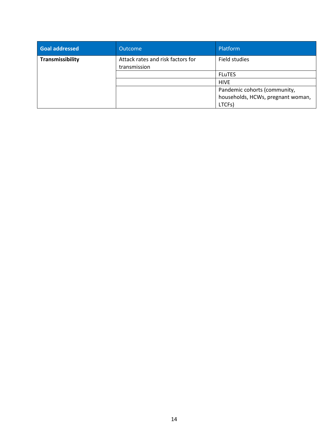| <b>Goal addressed</b> | <b>Outcome</b>                                    | Platform                          |
|-----------------------|---------------------------------------------------|-----------------------------------|
| Transmissibility      | Attack rates and risk factors for<br>transmission | Field studies                     |
|                       |                                                   | <b>FLuTES</b>                     |
|                       |                                                   | <b>HIVE</b>                       |
|                       |                                                   | Pandemic cohorts (community,      |
|                       |                                                   | households, HCWs, pregnant woman, |
|                       |                                                   | LTCFs)                            |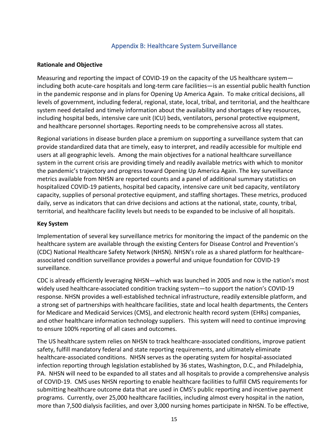# Appendix B: Healthcare System Surveillance

### <span id="page-14-0"></span>**Rationale and Objective**

Measuring and reporting the impact of COVID-19 on the capacity of the US healthcare system including both acute-care hospitals and long-term care facilities—is an essential public health function in the pandemic response and in plans for Opening Up America Again. To make critical decisions, all levels of government, including federal, regional, state, local, tribal, and territorial, and the healthcare system need detailed and timely information about the availability and shortages of key resources, including hospital beds, intensive care unit (ICU) beds, ventilators, personal protective equipment, and healthcare personnel shortages. Reporting needs to be comprehensive across all states.

Regional variations in disease burden place a premium on supporting a surveillance system that can provide standardized data that are timely, easy to interpret, and readily accessible for multiple end users at all geographic levels. Among the main objectives for a national healthcare surveillance system in the current crisis are providing timely and readily available metrics with which to monitor the pandemic's trajectory and progress toward Opening Up America Again. The key surveillance metrics available from NHSN are reported counts and a panel of additional summary statistics on hospitalized COVID-19 patients, hospital bed capacity, intensive care unit bed capacity, ventilatory capacity, supplies of personal protective equipment, and staffing shortages. These metrics, produced daily, serve as indicators that can drive decisions and actions at the national, state, county, tribal, territorial, and healthcare facility levels but needs to be expanded to be inclusive of all hospitals.

### **Key System**

Implementation of several key surveillance metrics for monitoring the impact of the pandemic on the healthcare system are available through the existing Centers for Disease Control and Prevention's (CDC) National Healthcare Safety Network (NHSN). NHSN's role as a shared platform for healthcareassociated condition surveillance provides a powerful and unique foundation for COVID-19 surveillance.

CDC is already efficiently leveraging NHSN—which was launched in 2005 and now is the nation's most widely used healthcare-associated condition tracking system—to support the nation's COVID-19 response. NHSN provides a well-established technical infrastructure, readily extensible platform, and a strong set of partnerships with healthcare facilities, state and local health departments, the Centers for Medicare and Medicaid Services (CMS), and electronic health record system (EHRs) companies, and other healthcare information technology suppliers. This system will need to continue improving to ensure 100% reporting of all cases and outcomes.

The US healthcare system relies on NHSN to track healthcare-associated conditions, improve patient safety, fulfill mandatory federal and state reporting requirements, and ultimately eliminate healthcare-associated conditions. NHSN serves as the operating system for hospital-associated infection reporting through legislation established by 36 states, Washington, D.C., and Philadelphia, PA. NHSN will need to be expanded to all states and all hospitals to provide a comprehensive analysis of COVID-19. CMS uses NHSN reporting to enable healthcare facilities to fulfill CMS requirements for submitting healthcare outcome data that are used in CMS's public reporting and incentive payment programs. Currently, over 25,000 healthcare facilities, including almost every hospital in the nation, more than 7,500 dialysis facilities, and over 3,000 nursing homes participate in NHSN. To be effective,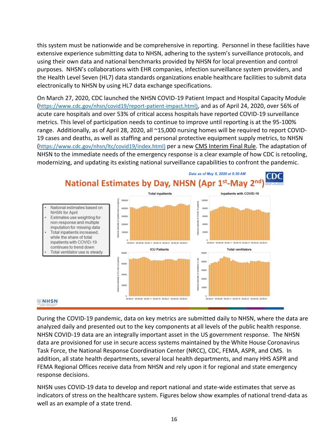this system must be nationwide and be comprehensive in reporting. Personnel in these facilities have extensive experience submitting data to NHSN, adhering to the system's surveillance protocols, and using their own data and national benchmarks provided by NHSN for local prevention and control purposes. NHSN's collaborations with EHR companies, infection surveillance system providers, and the Health Level Seven (HL7) data standards organizations enable healthcare facilities to submit data electronically to NHSN by using HL7 data exchange specifications.

On March 27, 2020, CDC launched the NHSN COVID-19 Patient Impact and Hospital Capacity Module ([https://www.cdc.gov/nhsn/covid19/report-patient-impact.html\)](https://www.cdc.gov/nhsn/covid19/report-patient-impact.html), and as of April 24, 2020, over 56% of acute care hospitals and over 53% of critical access hospitals have reported COVID-19 surveillance metrics. This level of participation needs to continue to improve until reporting is at the 95-100% range. Additionally, as of April 28, 2020, all ~15,000 nursing homes will be required to report COVID-19 cases and deaths, as well as staffing and personal protective equipment supply metrics, to NHSN ([https://www.cdc.gov/nhsn/ltc/covid19/index.html\)](https://www.cdc.gov/nhsn/ltc/covid19/index.html) per a new [CMS Interim Final Rule.](https://www.cms.gov/files/document/qso-20-26-nh.pdf) The adaptation of NHSN to the immediate needs of the emergency response is a clear example of how CDC is retooling, modernizing, and updating its existing national surveillance capabilities to confront the pandemic.



### **ANHSN**

During the COVID-19 pandemic, data on key metrics are submitted daily to NHSN, where the data are analyzed daily and presented out to the key components at all levels of the public health response. NHSN COVID-19 data are an integrally important asset in the US government response. The NHSN data are provisioned for use in secure access systems maintained by the White House Coronavirus Task Force, the National Response Coordination Center (NRCC), CDC, FEMA, ASPR, and CMS. In addition, all state health departments, several local health departments, and many HHS ASPR and FEMA Regional Offices receive data from NHSN and rely upon it for regional and state emergency response decisions.

NHSN uses COVID-19 data to develop and report national and state-wide estimates that serve as indicators of stress on the healthcare system. Figures below show examples of national trend-data as well as an example of a state trend.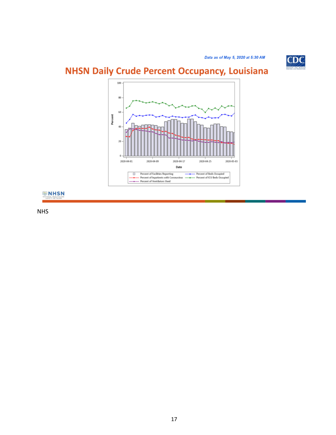

Data as of May 5, 2020 at 5:30 AM

# **NHSN Daily Crude Percent Occupancy, Louisiana**



# **MHSN**

NHS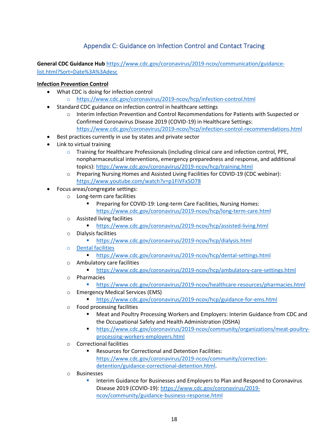# Appendix C: Guidance on Infection Control and Contact Tracing

<span id="page-17-0"></span>**General CDC Guidance Hub** [https://www.cdc.gov/coronavirus/2019-ncov/communication/guidance](https://www.cdc.gov/coronavirus/2019-ncov/communication/guidance-list.html?Sort=Date%3A%3Adesc)[list.html?Sort=Date%3A%3Adesc](https://www.cdc.gov/coronavirus/2019-ncov/communication/guidance-list.html?Sort=Date%3A%3Adesc)

### **Infection Prevention Control**

- What CDC is doing for infection control
	- o <https://www.cdc.gov/coronavirus/2019-ncov/hcp/infection-control.html>
- Standard CDC guidance on infection control in healthcare settings
	- o Interim Infection Prevention and Control Recommendations for Patients with Suspected or Confirmed Coronavirus Disease 2019 (COVID-19) in Healthcare Settings: <https://www.cdc.gov/coronavirus/2019-ncov/hcp/infection-control-recommendations.html>
- Best practices currently in use by states and private sector
- Link to virtual training
	- $\circ$  Training for Healthcare Professionals (including clinical care and infection control, PPE, nonpharmaceutical interventions, emergency preparedness and response, and additional topics):<https://www.cdc.gov/coronavirus/2019-ncov/hcp/training.html>
	- o Preparing Nursing Homes and Assisted Living Facilities for COVID-19 (CDC webinar): <https://www.youtube.com/watch?v=p1FiVFx5O78>
- Focus areas/congregate settings:
	- o Long-term care facilities
		- Preparing for COVID-19: Long-term Care Facilities, Nursing Homes: <https://www.cdc.gov/coronavirus/2019-ncov/hcp/long-term-care.html>
		- o Assisted living facilities
			- **Inttps://www.cdc.gov/coronavirus/2019-ncov/hcp/assisted-living.html**
		- o Dialysis facilities
			- <https://www.cdc.gov/coronavirus/2019-ncov/hcp/dialysis.html>
		- o Dental facilities
			- **Inttps://www.cdc.gov/coronavirus/2019-ncov/hcp/dental-settings.html**
		- o Ambulatory care facilities
			- <https://www.cdc.gov/coronavirus/2019-ncov/hcp/ambulatory-care-settings.html>
		- o Pharmacies
			- <https://www.cdc.gov/coronavirus/2019-ncov/healthcare-resources/pharmacies.html>
		- o Emergency Medical Services (EMS)
			- <https://www.cdc.gov/coronavirus/2019-ncov/hcp/guidance-for-ems.html>
		- o Food processing facilities
			- Meat and Poultry Processing Workers and Employers: Interim Guidance from CDC and the Occupational Safety and Health Administration (OSHA)
			- [https://www.cdc.gov/coronavirus/2019-ncov/community/organizations/meat-poultry](https://www.cdc.gov/coronavirus/2019-ncov/community/organizations/meat-poultry-processing-workers-employers.html)[processing-workers-employers.html](https://www.cdc.gov/coronavirus/2019-ncov/community/organizations/meat-poultry-processing-workers-employers.html)
		- o Correctional facilities
			- Resources for Correctional and Detention Facilities: [https://www.cdc.gov/coronavirus/2019-ncov/community/correction](https://www.cdc.gov/coronavirus/2019-ncov/community/correction-detention/guidance-correctional-detention.html)[detention/guidance-correctional-detention.html.](https://www.cdc.gov/coronavirus/2019-ncov/community/correction-detention/guidance-correctional-detention.html)
		- o Businesses
			- **EXECTE Interim Guidance for Businesses and Employers to Plan and Respond to Coronavirus** Disease 2019 (COVID-19)[: https://www.cdc.gov/coronavirus/2019](https://www.cdc.gov/coronavirus/2019-ncov/community/guidance-business-response.html) [ncov/community/guidance-business-response.html](https://www.cdc.gov/coronavirus/2019-ncov/community/guidance-business-response.html)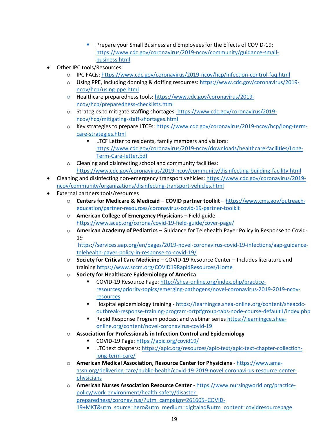- **Prepare your Small Business and Employees for the Effects of COVID-19:** [https://www.cdc.gov/coronavirus/2019-ncov/community/guidance-small](https://www.cdc.gov/coronavirus/2019-ncov/community/guidance-small-business.html)[business.html](https://www.cdc.gov/coronavirus/2019-ncov/community/guidance-small-business.html)
- Other IPC tools/Resources:
	- o IPC FAQs:<https://www.cdc.gov/coronavirus/2019-ncov/hcp/infection-control-faq.html>
	- o Using PPE, including donning & doffing resources: [https://www.cdc.gov/coronavirus/2019](https://www.cdc.gov/coronavirus/2019-ncov/hcp/using-ppe.html) [ncov/hcp/using-ppe.html](https://www.cdc.gov/coronavirus/2019-ncov/hcp/using-ppe.html)
	- o Healthcare preparedness tools: [https://www.cdc.gov/coronavirus/2019](https://www.cdc.gov/coronavirus/2019-ncov/hcp/preparedness-checklists.html) [ncov/hcp/preparedness-checklists.html](https://www.cdc.gov/coronavirus/2019-ncov/hcp/preparedness-checklists.html)
	- o Strategies to mitigate staffing shortages: [https://www.cdc.gov/coronavirus/2019](https://www.cdc.gov/coronavirus/2019-ncov/hcp/mitigating-staff-shortages.html) [ncov/hcp/mitigating-staff-shortages.html](https://www.cdc.gov/coronavirus/2019-ncov/hcp/mitigating-staff-shortages.html)
	- o Key strategies to prepare LTCFs: [https://www.cdc.gov/coronavirus/2019-ncov/hcp/long-term](https://www.cdc.gov/coronavirus/2019-ncov/hcp/long-term-care-strategies.html)[care-strategies.html](https://www.cdc.gov/coronavirus/2019-ncov/hcp/long-term-care-strategies.html)
		- LTCF Letter to residents, family members and visitors: [https://www.cdc.gov/coronavirus/2019-ncov/downloads/healthcare-facilities/Long-](https://www.cdc.gov/coronavirus/2019-ncov/downloads/healthcare-facilities/Long-Term-Care-letter.pdf)[Term-Care-letter.pdf](https://www.cdc.gov/coronavirus/2019-ncov/downloads/healthcare-facilities/Long-Term-Care-letter.pdf)
	- o Cleaning and disinfecting school and community facilities: <https://www.cdc.gov/coronavirus/2019-ncov/community/disinfecting-building-facility.html>
- Cleaning and disinfecting non-emergency transport vehicles: [https://www.cdc.gov/coronavirus/2019](https://www.cdc.gov/coronavirus/2019-ncov/community/organizations/disinfecting-transport-vehicles.html) [ncov/community/organizations/disinfecting-transport-vehicles.html](https://www.cdc.gov/coronavirus/2019-ncov/community/organizations/disinfecting-transport-vehicles.html)
- External partners tools/resources
	- o **Centers for Medicare & Medicaid – COVID partner toolkit –** [https://www.cms.gov/outreach](https://www.cms.gov/outreach-education/partner-resources/coronavirus-covid-19-partner-toolkit)[education/partner-resources/coronavirus-covid-19-partner-toolkit](https://www.cms.gov/outreach-education/partner-resources/coronavirus-covid-19-partner-toolkit)
	- o **American College of Emergency Physicians** Field guide <https://www.acep.org/corona/covid-19-field-guide/cover-page/>
	- o **American Academy of Pediatrics** Guidance for Telehealth Payer Policy in Response to Covid-19

[https://services.aap.org/en/pages/2019-novel-coronavirus-covid-19-infections/aap-guidance](https://services.aap.org/en/pages/2019-novel-coronavirus-covid-19-infections/aap-guidance-telehealth-payer-policy-in-response-to-covid-19/)[telehealth-payer-policy-in-response-to-covid-19/](https://services.aap.org/en/pages/2019-novel-coronavirus-covid-19-infections/aap-guidance-telehealth-payer-policy-in-response-to-covid-19/)

- o **Society for Critical Care Medicine** COVID-19 Resource Center Includes literature and trainin[g https://www.sccm.org/COVID19RapidResources/Home](https://www.sccm.org/COVID19RapidResources/Home)
- o **Society for Healthcare Epidemiology of America**
	- COVID-19 Resource Page: [http://shea-online.org/index.php/practice](http://shea-online.org/index.php/practice-resources/priority-topics/emerging-pathogens/novel-coronavirus-2019-2019-ncov-resources)[resources/priority-topics/emerging-pathogens/novel-coronavirus-2019-2019-ncov](http://shea-online.org/index.php/practice-resources/priority-topics/emerging-pathogens/novel-coronavirus-2019-2019-ncov-resources)[resources](http://shea-online.org/index.php/practice-resources/priority-topics/emerging-pathogens/novel-coronavirus-2019-2019-ncov-resources)
	- Hospital epidemiology training [https://learningce.shea-online.org/content/sheacdc](https://learningce.shea-online.org/content/sheacdc-outbreak-response-training-program-ortp#group-tabs-node-course-default1/index.php)[outbreak-response-training-program-ortp#group-tabs-node-course-default1/index.php](https://learningce.shea-online.org/content/sheacdc-outbreak-response-training-program-ortp#group-tabs-node-course-default1/index.php)
	- Rapid Response Program podcast and webinar series [https://learningce.shea](https://learningce.shea-online.org/content/novel-coronavirus-covid-19)[online.org/content/novel-coronavirus-covid-19](https://learningce.shea-online.org/content/novel-coronavirus-covid-19)
- o **Association for Professionals in Infection Control and Epidemiology**
	- COVID-19 Page[: https://apic.org/covid19/](https://apic.org/covid19/)
	- LTC text chapters: [https://apic.org/resources/apic-text/apic-text-chapter-collection](https://apic.org/resources/apic-text/apic-text-chapter-collection-long-term-care/)[long-term-care/](https://apic.org/resources/apic-text/apic-text-chapter-collection-long-term-care/)
- o **American Medical Association, Resource Center for Physicians** [https://www.ama](https://www.ama-assn.org/delivering-care/public-health/covid-19-2019-novel-coronavirus-resource-center-physicians)[assn.org/delivering-care/public-health/covid-19-2019-novel-coronavirus-resource-center](https://www.ama-assn.org/delivering-care/public-health/covid-19-2019-novel-coronavirus-resource-center-physicians)[physicians](https://www.ama-assn.org/delivering-care/public-health/covid-19-2019-novel-coronavirus-resource-center-physicians)
- o **American Nurses Association Resource Center** [https://www.nursingworld.org/practice](https://www.nursingworld.org/practice-policy/work-environment/health-safety/disaster-preparedness/coronavirus/?utm_campaign=261605+COVID-19+MKT&utm_source=hero&utm_medium=digitalad&utm_content=covidresourcepage)[policy/work-environment/health-safety/disaster](https://www.nursingworld.org/practice-policy/work-environment/health-safety/disaster-preparedness/coronavirus/?utm_campaign=261605+COVID-19+MKT&utm_source=hero&utm_medium=digitalad&utm_content=covidresourcepage)[preparedness/coronavirus/?utm\\_campaign=261605+COVID-](https://www.nursingworld.org/practice-policy/work-environment/health-safety/disaster-preparedness/coronavirus/?utm_campaign=261605+COVID-19+MKT&utm_source=hero&utm_medium=digitalad&utm_content=covidresourcepage)[19+MKT&utm\\_source=hero&utm\\_medium=digitalad&utm\\_content=covidresourcepage](https://www.nursingworld.org/practice-policy/work-environment/health-safety/disaster-preparedness/coronavirus/?utm_campaign=261605+COVID-19+MKT&utm_source=hero&utm_medium=digitalad&utm_content=covidresourcepage)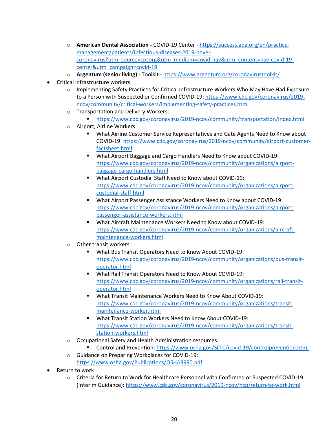- o **American Dental Association -** COVID-19 Center [https://success.ada.org/en/practice](https://success.ada.org/en/practice-management/patients/infectious-diseases-2019-novel-coronavirus?utm_source=cpsorg&utm_medium=covid-nav&utm_content=nav-covid-19-center&utm_campaign=covid-19)[management/patients/infectious-diseases-2019-novel](https://success.ada.org/en/practice-management/patients/infectious-diseases-2019-novel-coronavirus?utm_source=cpsorg&utm_medium=covid-nav&utm_content=nav-covid-19-center&utm_campaign=covid-19)[coronavirus?utm\\_source=cpsorg&utm\\_medium=covid-nav&utm\\_content=nav-covid-19](https://success.ada.org/en/practice-management/patients/infectious-diseases-2019-novel-coronavirus?utm_source=cpsorg&utm_medium=covid-nav&utm_content=nav-covid-19-center&utm_campaign=covid-19) [center&utm\\_campaign=covid-19](https://success.ada.org/en/practice-management/patients/infectious-diseases-2019-novel-coronavirus?utm_source=cpsorg&utm_medium=covid-nav&utm_content=nav-covid-19-center&utm_campaign=covid-19)
- o **Argentum (senior living) -** Toolkit <https://www.argentum.org/coronavirustoolkit/>
- Critical infrastructure workers
	- $\circ$  Implementing Safety Practices for Critical Infrastructure Workers Who May Have Had Exposure to a Person with Suspected or Confirmed COVID-19: [https://www.cdc.gov/coronavirus/2019](https://www.cdc.gov/coronavirus/2019-ncov/community/critical-workers/implementing-safety-practices.html) [ncov/community/critical-workers/implementing-safety-practices.html](https://www.cdc.gov/coronavirus/2019-ncov/community/critical-workers/implementing-safety-practices.html)
	- o Transportation and Delivery Workers:
		- <https://www.cdc.gov/coronavirus/2019-ncov/community/transportation/index.html>
	- o Airport, Airline Workers
		- **■** What Airline Customer Service Representatives and Gate Agents Need to Know about COVID-19[: https://www.cdc.gov/coronavirus/2019-ncov/community/airport-customer](https://www.cdc.gov/coronavirus/2019-ncov/community/airport-customer-factsheet.html)[factsheet.html](https://www.cdc.gov/coronavirus/2019-ncov/community/airport-customer-factsheet.html)
		- What Airport Baggage and Cargo Handlers Need to Know about COVID-19: [https://www.cdc.gov/coronavirus/2019-ncov/community/organizations/airport](https://www.cdc.gov/coronavirus/2019-ncov/community/organizations/airport-baggage-cargo-handlers.html)[baggage-cargo-handlers.html](https://www.cdc.gov/coronavirus/2019-ncov/community/organizations/airport-baggage-cargo-handlers.html)
		- What Airport Custodial Staff Need to Know about COVID-19: [https://www.cdc.gov/coronavirus/2019-ncov/community/organizations/airport](https://www.cdc.gov/coronavirus/2019-ncov/community/organizations/airport-custodial-staff.html)[custodial-staff.html](https://www.cdc.gov/coronavirus/2019-ncov/community/organizations/airport-custodial-staff.html)
		- What Airport Passenger Assistance Workers Need to Know about COVID-19: [https://www.cdc.gov/coronavirus/2019-ncov/community/organizations/airport](https://www.cdc.gov/coronavirus/2019-ncov/community/organizations/airport-passenger-assistance-workers.html)[passenger-assistance-workers.html](https://www.cdc.gov/coronavirus/2019-ncov/community/organizations/airport-passenger-assistance-workers.html)
		- What Aircraft Maintenance Workers Need to Know about COVID-19: [https://www.cdc.gov/coronavirus/2019-ncov/community/organizations/aircraft](https://www.cdc.gov/coronavirus/2019-ncov/community/organizations/aircraft-maintenance-workers.html)[maintenance-workers.html](https://www.cdc.gov/coronavirus/2019-ncov/community/organizations/aircraft-maintenance-workers.html)
	- o Other transit workers:
		- What Bus Transit Operators Need to Know About COVID-19: [https://www.cdc.gov/coronavirus/2019-ncov/community/organizations/bus-transit](https://www.cdc.gov/coronavirus/2019-ncov/community/organizations/bus-transit-operator.html)[operator.html](https://www.cdc.gov/coronavirus/2019-ncov/community/organizations/bus-transit-operator.html)
		- What Rail Transit Operators Need to Know About COVID-19: [https://www.cdc.gov/coronavirus/2019-ncov/community/organizations/rail-transit](https://www.cdc.gov/coronavirus/2019-ncov/community/organizations/rail-transit-operator.html)[operator.html](https://www.cdc.gov/coronavirus/2019-ncov/community/organizations/rail-transit-operator.html)
		- What Transit Maintenance Workers Need to Know About COVID-19: [https://www.cdc.gov/coronavirus/2019-ncov/community/organizations/transit](https://www.cdc.gov/coronavirus/2019-ncov/community/organizations/transit-maintenance-worker.html)[maintenance-worker.html](https://www.cdc.gov/coronavirus/2019-ncov/community/organizations/transit-maintenance-worker.html)
		- What Transit Station Workers Need to Know About COVID-19: [https://www.cdc.gov/coronavirus/2019-ncov/community/organizations/transit](https://www.cdc.gov/coronavirus/2019-ncov/community/organizations/transit-station-workers.html)[station-workers.html](https://www.cdc.gov/coronavirus/2019-ncov/community/organizations/transit-station-workers.html)
	- o Occupational Safety and Health Administration resources
		- Control and Prevention:<https://www.osha.gov/SLTC/covid-19/controlprevention.html>
	- o Guidance on Preparing Workplaces for COVID-19:
		- <https://www.osha.gov/Publications/OSHA3990.pdf>
- Return to work
	- o Criteria for Return to Work for Healthcare Personnel with Confirmed or Suspected COVID-19 (Interim Guidance):<https://www.cdc.gov/coronavirus/2019-ncov/hcp/return-to-work.html>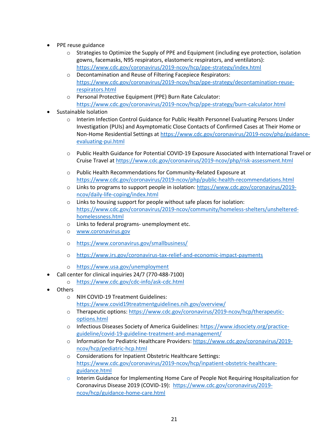- PPE reuse guidance
	- $\circ$  Strategies to Optimize the Supply of PPE and Equipment (including eye protection, isolation gowns, facemasks, N95 respirators, elastomeric respirators, and ventilators): <https://www.cdc.gov/coronavirus/2019-ncov/hcp/ppe-strategy/index.html>
	- o Decontamination and Reuse of Filtering Facepiece Respirators: [https://www.cdc.gov/coronavirus/2019-ncov/hcp/ppe-strategy/decontamination-reuse](https://www.cdc.gov/coronavirus/2019-ncov/hcp/ppe-strategy/decontamination-reuse-respirators.html)[respirators.html](https://www.cdc.gov/coronavirus/2019-ncov/hcp/ppe-strategy/decontamination-reuse-respirators.html)
	- o Personal Protective Equipment (PPE) Burn Rate Calculator: <https://www.cdc.gov/coronavirus/2019-ncov/hcp/ppe-strategy/burn-calculator.html>
- Sustainable Isolation
	- o Interim Infection Control Guidance for Public Health Personnel Evaluating Persons Under Investigation (PUIs) and Asymptomatic Close Contacts of Confirmed Cases at Their Home or Non-Home Residential Settings at [https://www.cdc.gov/coronavirus/2019-ncov/php/guidance](https://www.cdc.gov/coronavirus/2019-ncov/php/guidance-evaluating-pui.html)[evaluating-pui.html](https://www.cdc.gov/coronavirus/2019-ncov/php/guidance-evaluating-pui.html)
	- o Public Health Guidance for Potential COVID-19 Exposure Associated with International Travel or Cruise Travel at<https://www.cdc.gov/coronavirus/2019-ncov/php/risk-assessment.html>
	- o Public Health Recommendations for Community-Related Exposure at <https://www.cdc.gov/coronavirus/2019-ncov/php/public-health-recommendations.html>
	- o Links to programs to support people in isolation[: https://www.cdc.gov/coronavirus/2019](https://www.cdc.gov/coronavirus/2019-ncov/daily-life-coping/index.html) [ncov/daily-life-coping/index.html](https://www.cdc.gov/coronavirus/2019-ncov/daily-life-coping/index.html)
	- o Links to housing support for people without safe places for isolation: [https://www.cdc.gov/coronavirus/2019-ncov/community/homeless-shelters/unsheltered](https://www.cdc.gov/coronavirus/2019-ncov/community/homeless-shelters/unsheltered-homelessness.html)[homelessness.html](https://www.cdc.gov/coronavirus/2019-ncov/community/homeless-shelters/unsheltered-homelessness.html)
	- o Links to federal programs- unemployment etc.
	- o [www.coronavirus.gov](http://www.coronavirus.gov/)
	- o <https://www.coronavirus.gov/smallbusiness/>
	- o <https://www.irs.gov/coronavirus-tax-relief-and-economic-impact-payments>
	- o <https://www.usa.gov/unemployment>
- Call center for clinical inquiries 24/7 (770-488-7100)
	- o <https://www.cdc.gov/cdc-info/ask-cdc.html>
- **Others** 
	- o NIH COVID-19 Treatment Guidelines: <https://www.covid19treatmentguidelines.nih.gov/overview/>
	- o Therapeutic options[: https://www.cdc.gov/coronavirus/2019-ncov/hcp/therapeutic](https://www.cdc.gov/coronavirus/2019-ncov/hcp/therapeutic-options.html)[options.html](https://www.cdc.gov/coronavirus/2019-ncov/hcp/therapeutic-options.html)
	- o Infectious Diseases Society of America Guidelines: [https://www.idsociety.org/practice](https://www.idsociety.org/practice-guideline/covid-19-guideline-treatment-and-management/)[guideline/covid-19-guideline-treatment-and-management/](https://www.idsociety.org/practice-guideline/covid-19-guideline-treatment-and-management/)
	- o Information for Pediatric Healthcare Providers[: https://www.cdc.gov/coronavirus/2019](https://www.cdc.gov/coronavirus/2019-ncov/hcp/pediatric-hcp.html) [ncov/hcp/pediatric-hcp.html](https://www.cdc.gov/coronavirus/2019-ncov/hcp/pediatric-hcp.html)
	- o Considerations for Inpatient Obstetric Healthcare Settings: [https://www.cdc.gov/coronavirus/2019-ncov/hcp/inpatient-obstetric-healthcare](https://www.cdc.gov/coronavirus/2019-ncov/hcp/inpatient-obstetric-healthcare-guidance.html)[guidance.html](https://www.cdc.gov/coronavirus/2019-ncov/hcp/inpatient-obstetric-healthcare-guidance.html)
	- o Interim Guidance for Implementing Home Care of People Not Requiring Hospitalization for Coronavirus Disease 2019 (COVID-19): [https://www.cdc.gov/coronavirus/2019](https://www.cdc.gov/coronavirus/2019-ncov/hcp/guidance-home-care.html) [ncov/hcp/guidance-home-care.html](https://www.cdc.gov/coronavirus/2019-ncov/hcp/guidance-home-care.html)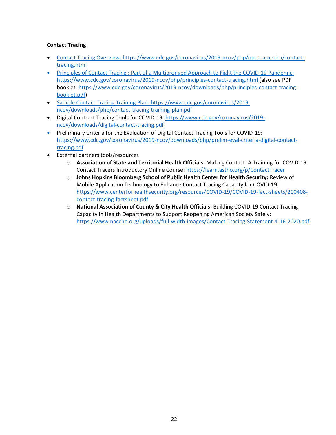### **Contact Tracing**

- Contact Tracing Overview[: https://www.cdc.gov/coronavirus/2019-ncov/php/open-america/contact](https://www.cdc.gov/coronavirus/2019-ncov/php/open-america/contact-tracing.html)[tracing.html](https://www.cdc.gov/coronavirus/2019-ncov/php/open-america/contact-tracing.html)
- Principles of Contact Tracing : Part of a Multipronged Approach to Fight the COVID-19 Pandemic: <https://www.cdc.gov/coronavirus/2019-ncov/php/principles-contact-tracing.html> (also see PDF booklet: [https://www.cdc.gov/coronavirus/2019-ncov/downloads/php/principles-contact-tracing](https://www.cdc.gov/coronavirus/2019-ncov/downloads/php/principles-contact-tracing-booklet.pdf)[booklet.pdf\)](https://www.cdc.gov/coronavirus/2019-ncov/downloads/php/principles-contact-tracing-booklet.pdf)
- Sample Contact Tracing Training Plan[: https://www.cdc.gov/coronavirus/2019](https://www.cdc.gov/coronavirus/2019-ncov/downloads/php/contact-tracing-training-plan.pdf) [ncov/downloads/php/contact-tracing-training-plan.pdf](https://www.cdc.gov/coronavirus/2019-ncov/downloads/php/contact-tracing-training-plan.pdf)
- Digital Contract Tracing Tools for COVID-19[: https://www.cdc.gov/coronavirus/2019](https://www.cdc.gov/coronavirus/2019-ncov/downloads/digital-contact-tracing.pdf) [ncov/downloads/digital-contact-tracing.pdf](https://www.cdc.gov/coronavirus/2019-ncov/downloads/digital-contact-tracing.pdf)
- Preliminary Criteria for the Evaluation of Digital Contact Tracing Tools for COVID-19: [https://www.cdc.gov/coronavirus/2019-ncov/downloads/php/prelim-eval-criteria-digital-contact](https://www.cdc.gov/coronavirus/2019-ncov/downloads/php/prelim-eval-criteria-digital-contact-tracing.pdf)[tracing.pdf](https://www.cdc.gov/coronavirus/2019-ncov/downloads/php/prelim-eval-criteria-digital-contact-tracing.pdf)
- External partners tools/resources
	- o **Association of State and Territorial Health Officials:** Making Contact: A Training for COVID-19 Contact Tracers Introductory Online Course:<https://learn.astho.org/p/ContactTracer>
	- o **Johns Hopkins Bloomberg School of Public Health Center for Health Security:** Review of Mobile Application Technology to Enhance Contact Tracing Capacity for COVID-19 [https://www.centerforhealthsecurity.org/resources/COVID-19/COVID-19-fact-sheets/200408](https://www.centerforhealthsecurity.org/resources/COVID-19/COVID-19-fact-sheets/200408-contact-tracing-factsheet.pdf) [contact-tracing-factsheet.pdf](https://www.centerforhealthsecurity.org/resources/COVID-19/COVID-19-fact-sheets/200408-contact-tracing-factsheet.pdf)
	- o **National Association of County & City Health Officials:** Building COVID-19 Contact Tracing Capacity in Health Departments to Support Reopening American Society Safely: <https://www.naccho.org/uploads/full-width-images/Contact-Tracing-Statement-4-16-2020.pdf>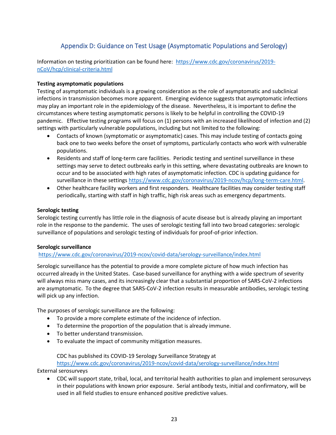# Appendix D: Guidance on Test Usage (Asymptomatic Populations and Serology)

<span id="page-22-0"></span>Information on testing prioritization can be found here:[https://www.cdc.gov/coronavirus/2019](https://www.cdc.gov/coronavirus/2019-nCoV/hcp/clinical-criteria.html) [nCoV/hcp/clinical-criteria.html](https://www.cdc.gov/coronavirus/2019-nCoV/hcp/clinical-criteria.html)

### **Testing asymptomatic populations**

Testing of asymptomatic individuals is a growing consideration as the role of asymptomatic and subclinical infections in transmission becomes more apparent. Emerging evidence suggests that asymptomatic infections may play an important role in the epidemiology of the disease. Nevertheless, it is important to define the circumstances where testing asymptomatic persons is likely to be helpful in controlling the COVID-19 pandemic. Effective testing programs will focus on (1) persons with an increased likelihood of infection and (2) settings with particularly vulnerable populations, including but not limited to the following:

- Contacts of known (symptomatic or asymptomatic) cases. This may include testing of contacts going back one to two weeks before the onset of symptoms, particularly contacts who work with vulnerable populations.
- Residents and staff of long-term care facilities. Periodic testing and sentinel surveillance in these settings may serve to detect outbreaks early in this setting, where devastating outbreaks are known to occur and to be associated with high rates of asymptomatic infection. CDC is updating guidance for surveillance in these settings [https://www.cdc.gov/coronavirus/2019-ncov/hcp/long-term-care.html.](https://www.cdc.gov/coronavirus/2019-ncov/hcp/long-term-care.html)
- Other healthcare facility workers and first responders. Healthcare facilities may consider testing staff periodically, starting with staff in high traffic, high risk areas such as emergency departments.

#### **Serologic testing**

Serologic testing currently has little role in the diagnosis of acute disease but is already playing an important role in the response to the pandemic. The uses of serologic testing fall into two broad categories: serologic surveillance of populations and serologic testing of individuals for proof-of-prior infection.

#### **Serologic surveillance**

### <https://www.cdc.gov/coronavirus/2019-ncov/covid-data/serology-surveillance/index.html>

Serologic surveillance has the potential to provide a more complete picture of how much infection has occurred already in the United States. Case-based surveillance for anything with a wide spectrum of severity will always miss many cases, and its increasingly clear that a substantial proportion of SARS-CoV-2 infections are asymptomatic. To the degree that SARS-CoV-2 infection results in measurable antibodies, serologic testing will pick up any infection.

The purposes of serologic surveillance are the following:

- To provide a more complete estimate of the incidence of infection.
- To determine the proportion of the population that is already immune.
- To better understand transmission.
- To evaluate the impact of community mitigation measures.

CDC has published its COVID-19 Serology Surveillance Strategy at

<https://www.cdc.gov/coronavirus/2019-ncov/covid-data/serology-surveillance/index.html>

External serosurveys

• CDC will support state, tribal, local, and territorial health authorities to plan and implement serosurveys in their populations with known prior exposure. Serial antibody tests, initial and confirmatory, will be used in all field studies to ensure enhanced positive predictive values.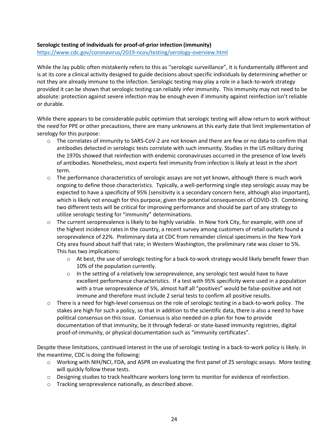### **Serologic testing of individuals for proof-of-prior infection (immunity)**

<https://www.cdc.gov/coronavirus/2019-ncov/testing/serology-overview.html>

While the lay public often mistakenly refers to this as "serologic surveillance", it is fundamentally different and is at its core a clinical activity designed to guide decisions about specific individuals by determining whether or not they are already immune to the infection. Serologic testing may play a role in a back-to-work strategy provided it can be shown that serologic testing can reliably infer immunity. This immunity may not need to be absolute: protection against severe infection may be enough even if immunity against reinfection isn't reliable or durable.

While there appears to be considerable public optimism that serologic testing will allow return to work without the need for PPE or other precautions, there are many unknowns at this early date that limit implementation of serology for this purpose:

- o The correlates of immunity to SARS-CoV-2 are not known and there are few or no data to confirm that antibodies detected in serologic tests correlate with such immunity. Studies in the US military during the 1970s showed that reinfection with endemic coronaviruses occurred in the presence of low levels of antibodies. Nonetheless, most experts feel immunity from infection is likely at least in the short term.
- $\circ$  The performance characteristics of serologic assays are not yet known, although there is much work ongoing to define those characteristics. Typically, a well-performing single step serologic assay may be expected to have a specificity of 95% (sensitivity is a secondary concern here, although also important), which is likely not enough for this purpose, given the potential consequences of COVID-19. Combining two different tests will be critical for improving performance and should be part of any strategy to utilize serologic testing for "immunity" determinations.
- $\circ$  The current seroprevalence is likely to be highly variable. In New York City, for example, with one of the highest incidence rates in the country, a recent survey among customers of retail outlets found a seroprevalence of 22%. Preliminary data at CDC from remainder clinical specimens in the New York City area found about half that rate; in Western Washington, the preliminary rate was closer to 5%. This has two implications:
	- $\circ$  At best, the use of serologic testing for a back-to-work strategy would likely benefit fewer than 10% of the population currently.
	- $\circ$  In the setting of a relatively low seroprevalence, any serologic test would have to have excellent performance characteristics. If a test with 95% specificity were used in a population with a true seroprevalence of 5%, almost half all "positives" would be false-positive and not immune and therefore must include 2 serial tests to confirm all positive results.
- $\circ$  There is a need for high-level consensus on the role of serologic testing in a back-to-work policy. The stakes are high for such a policy, so that in addition to the scientific data, there is also a need to have political consensus on this issue. Consensus is also needed on a plan for how to provide documentation of that immunity, be it through federal- or state-based immunity registries, digital proof-of-immunity, or physical documentation such as "immunity certificates".

Despite these limitations, continued interest in the use of serologic testing in a back-to-work policy is likely. In the meantime, CDC is doing the following:

- o Working with NIH/NCI, FDA, and ASPR on evaluating the first panel of 25 serologic assays. More testing will quickly follow these tests.
- o Designing studies to track healthcare workers long term to monitor for evidence of reinfection.
- o Tracking seroprevalence nationally, as described above.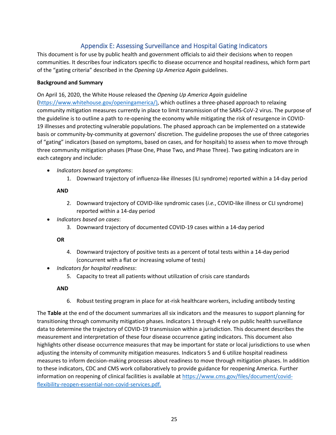# Appendix E: Assessing Surveillance and Hospital Gating Indicators

<span id="page-24-0"></span>This document is for use by public health and government officials to aid their decisions when to reopen communities. It describes four indicators specific to disease occurrence and hospital readiness, which form part of the "gating criteria" described in the *Opening Up America Again* guidelines.

### **Background and Summary**

On April 16, 2020, the White House released the *Opening Up America Again* guideline

[\(https://www.whitehouse.gov/openingamerica/\)](https://www.whitehouse.gov/openingamerica/), which outlines a three-phased approach to relaxing community mitigation measures currently in place to limit transmission of the SARS-CoV-2 virus. The purpose of the guideline is to outline a path to re-opening the economy while mitigating the risk of resurgence in COVID-19 illnesses and protecting vulnerable populations. The phased approach can be implemented on a statewide basis or community-by-community at governors' discretion. The guideline proposes the use of three categories of "gating" indicators (based on symptoms, based on cases, and for hospitals) to assess when to move through three community mitigation phases (Phase One, Phase Two, and Phase Three). Two gating indicators are in each category and include:

- *Indicators based on symptoms*:
	- 1. Downward trajectory of influenza-like illnesses (ILI syndrome) reported within a 14-day period

### **AND**

- 2. Downward trajectory of COVID-like syndromic cases (*i.e.*, COVID-like illness or CLI syndrome) reported within a 14-day period
- *Indicators based on cases*:
	- 3. Downward trajectory of documented COVID-19 cases within a 14-day period

### **OR**

- 4. Downward trajectory of positive tests as a percent of total tests within a 14-day period (concurrent with a flat or increasing volume of tests)
- *Indicators for hospital readiness*:
	- 5. Capacity to treat all patients without utilization of crisis care standards

### **AND**

6. Robust testing program in place for at-risk healthcare workers, including antibody testing

The **Table** at the end of the document summarizes all six indicators and the measures to support planning for transitioning through community mitigation phases. Indicators 1 through 4 rely on public health surveillance data to determine the trajectory of COVID-19 transmission within a jurisdiction. This document describes the measurement and interpretation of these four disease occurrence gating indicators. This document also highlights other disease occurrence measures that may be important for state or local jurisdictions to use when adjusting the intensity of community mitigation measures. Indicators 5 and 6 utilize hospital readiness measures to inform decision-making processes about readiness to move through mitigation phases. In addition to these indicators, CDC and CMS work collaboratively to provide guidance for reopening America. Further information on reopening of clinical facilities is available at [https://www.cms.gov/files/document/covid](https://www.cms.gov/files/document/covid-flexibility-reopen-essential-non-covid-services.pdf)[flexibility-reopen-essential-non-covid-services.pdf.](https://www.cms.gov/files/document/covid-flexibility-reopen-essential-non-covid-services.pdf)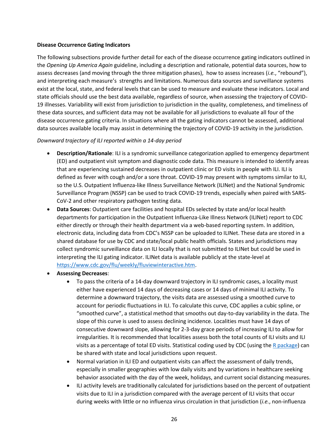#### **Disease Occurrence Gating Indicators**

The following subsections provide further detail for each of the disease occurrence gating indicators outlined in the *Opening Up America Again* guideline, including a description and rationale, potential data sources, how to assess decreases (and moving through the three mitigation phases), how to assess increases (*i.e.*, "rebound"), and interpreting each measure's strengths and limitations. Numerous data sources and surveillance systems exist at the local, state, and federal levels that can be used to measure and evaluate these indicators. Local and state officials should use the best data available, regardless of source, when assessing the trajectory of COVID-19 illnesses. Variability will exist from jurisdiction to jurisdiction in the quality, completeness, and timeliness of these data sources, and sufficient data may not be available for all jurisdictions to evaluate all four of the disease occurrence gating criteria. In situations where all the gating indicators cannot be assessed, additional data sources available locally may assist in determining the trajectory of COVID-19 activity in the jurisdiction.

### *Downward trajectory of ILI reported within a 14-day period*

- **Description/Rationale**: ILI is a syndromic surveillance categorization applied to emergency department (ED) and outpatient visit symptom and diagnostic code data. This measure is intended to identify areas that are experiencing sustained decreases in outpatient clinic or ED visits in people with ILI. ILI is defined as fever with cough and/or a sore throat. COVID-19 may present with symptoms similar to ILI, so the U.S. Outpatient Influenza-like Illness Surveillance Network (ILINet) and the National Syndromic Surveillance Program (NSSP) can be used to track COVID-19 trends, especially when paired with SARS-CoV-2 and other respiratory pathogen testing data.
- **Data Sources**: Outpatient care facilities and hospital EDs selected by state and/or local health departments for participation in the Outpatient Influenza-Like Illness Network (ILINet) report to CDC either directly or through their health department via a web-based reporting system. In addition, electronic data, including data from CDC's NSSP can be uploaded to ILINet. These data are stored in a shared database for use by CDC and state/local public health officials. States and jurisdictions may collect syndromic surveillance data on ILI locally that is not submitted to ILINet but could be used in interpreting the ILI gating indicator. ILINet data is available publicly at the state-level at [https://www.cdc.gov/flu/weekly/fluviewinteractive.htm.](https://www.cdc.gov/flu/weekly/fluviewinteractive.htm)
- **Assessing Decreases**:
	- To pass the criteria of a 14-day downward trajectory in ILI syndromic cases, a locality must either have experienced 14 days of decreasing cases or 14 days of minimal ILI activity. To determine a downward trajectory, the visits data are assessed using a smoothed curve to account for periodic fluctuations in ILI. To calculate this curve, CDC applies a cubic spline, or "smoothed curve", a statistical method that smooths out day-to-day variability in the data. The slope of this curve is used to assess declining incidence. Localities must have 14 days of consecutive downward slope, allowing for 2-3-day grace periods of increasing ILI to allow for irregularities. It is recommended that localities assess both the total counts of ILI visits and ILI visits as a percentage of total ED visits. Statistical coding used by CDC (using the [R package\)](https://www.r-project.org/) can be shared with state and local jurisdictions upon request.
	- Normal variation in ILI ED and outpatient visits can affect the assessment of daily trends, especially in smaller geographies with low daily visits and by variations in healthcare seeking behavior associated with the day of the week, holidays, and current social distancing measures.
	- ILI activity levels are traditionally calculated for jurisdictions based on the percent of outpatient visits due to ILI in a jurisdiction compared with the average percent of ILI visits that occur during weeks with little or no influenza virus circulation in that jurisdiction (*i.e.*, non-influenza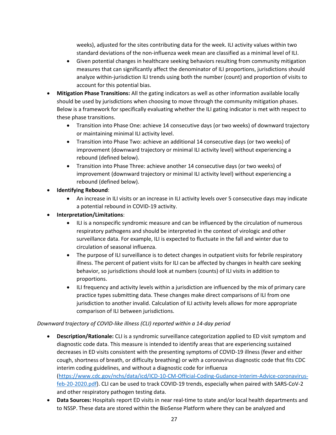weeks), adjusted for the sites contributing data for the week. ILI activity values within two standard deviations of the non-influenza week mean are classified as a minimal level of ILI.

- Given potential changes in healthcare seeking behaviors resulting from community mitigation measures that can significantly affect the denominator of ILI proportions, jurisdictions should analyze within-jurisdiction ILI trends using both the number (count) and proportion of visits to account for this potential bias.
- **Mitigation Phase Transitions:** All the gating indicators as well as other information available locally should be used by jurisdictions when choosing to move through the community mitigation phases. Below is a framework for specifically evaluating whether the ILI gating indicator is met with respect to these phase transitions.
	- Transition into Phase One: achieve 14 consecutive days (or two weeks) of downward trajectory or maintaining minimal ILI activity level.
	- Transition into Phase Two: achieve an additional 14 consecutive days (or two weeks) of improvement (downward trajectory or minimal ILI activity level) without experiencing a rebound (defined below).
	- Transition into Phase Three: achieve another 14 consecutive days (or two weeks) of improvement (downward trajectory or minimal ILI activity level) without experiencing a rebound (defined below).
- **Identifying Rebound**:
	- An increase in ILI visits or an increase in ILI activity levels over 5 consecutive days may indicate a potential rebound in COVID-19 activity.
- **Interpretation/Limitations**:
	- ILI is a nonspecific syndromic measure and can be influenced by the circulation of numerous respiratory pathogens and should be interpreted in the context of virologic and other surveillance data. For example, ILI is expected to fluctuate in the fall and winter due to circulation of seasonal influenza.
	- The purpose of ILI surveillance is to detect changes in outpatient visits for febrile respiratory illness. The percent of patient visits for ILI can be affected by changes in health care seeking behavior, so jurisdictions should look at numbers (counts) of ILI visits in addition to proportions.
	- ILI frequency and activity levels within a jurisdiction are influenced by the mix of primary care practice types submitting data. These changes make direct comparisons of ILI from one jurisdiction to another invalid. Calculation of ILI activity levels allows for more appropriate comparison of ILI between jurisdictions.

### *Downward trajectory of COVID-like illness (CLI) reported within a 14-day period*

- **Description/Rationale:** CLI is a syndromic surveillance categorization applied to ED visit symptom and diagnostic code data. This measure is intended to identify areas that are experiencing sustained decreases in ED visits consistent with the presenting symptoms of COVID-19 illness (fever and either cough, shortness of breath, or difficulty breathing) or with a coronavirus diagnostic code that fits CDC interim coding guidelines, and without a diagnostic code for influenza [\(https://www.cdc.gov/nchs/data/icd/ICD-10-CM-Official-Coding-Gudance-Interim-Advice-coronavirus](https://www.cdc.gov/nchs/data/icd/ICD-10-CM-Official-Coding-Gudance-Interim-Advice-coronavirus-feb-20-2020.pdf)[feb-20-2020.pdf\)](https://www.cdc.gov/nchs/data/icd/ICD-10-CM-Official-Coding-Gudance-Interim-Advice-coronavirus-feb-20-2020.pdf). CLI can be used to track COVID-19 trends, especially when paired with SARS-CoV-2 and other respiratory pathogen testing data.
- **Data Sources:** Hospitals report ED visits in near real-time to state and/or local health departments and to NSSP. These data are stored within the BioSense Platform where they can be analyzed and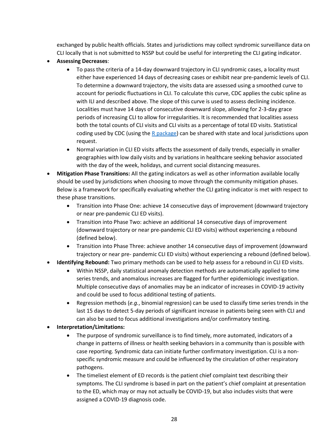exchanged by public health officials. States and jurisdictions may collect syndromic surveillance data on CLI locally that is not submitted to NSSP but could be useful for interpreting the CLI gating indicator.

- **Assessing Decreases**:
	- To pass the criteria of a 14-day downward trajectory in CLI syndromic cases, a locality must either have experienced 14 days of decreasing cases or exhibit near pre-pandemic levels of CLI. To determine a downward trajectory, the visits data are assessed using a smoothed curve to account for periodic fluctuations in CLI. To calculate this curve, CDC applies the cubic spline as with ILI and described above. The slope of this curve is used to assess declining incidence. Localities must have 14 days of consecutive downward slope, allowing for 2-3-day grace periods of increasing CLI to allow for irregularities. It is recommended that localities assess both the total counts of CLI visits and CLI visits as a percentage of total ED visits. Statistical coding used by CDC (using the  $R$  package) can be shared with state and local jurisdictions upon request.
	- Normal variation in CLI ED visits affects the assessment of daily trends, especially in smaller geographies with low daily visits and by variations in healthcare seeking behavior associated with the day of the week, holidays, and current social distancing measures.
- **Mitigation Phase Transitions:** All the gating indicators as well as other information available locally should be used by jurisdictions when choosing to move through the community mitigation phases. Below is a framework for specifically evaluating whether the CLI gating indicator is met with respect to these phase transitions.
	- Transition into Phase One: achieve 14 consecutive days of improvement (downward trajectory or near pre-pandemic CLI ED visits).
	- Transition into Phase Two: achieve an additional 14 consecutive days of improvement (downward trajectory or near pre-pandemic CLI ED visits) without experiencing a rebound (defined below).
	- Transition into Phase Three: achieve another 14 consecutive days of improvement (downward trajectory or near pre- pandemic CLI ED visits) without experiencing a rebound (defined below).
- **Identifying Rebound:** Two primary methods can be used to help assess for a rebound in CLI ED visits.
	- Within NSSP, daily statistical anomaly detection methods are automatically applied to time series trends, and anomalous increases are flagged for further epidemiologic investigation. Multiple consecutive days of anomalies may be an indicator of increases in COVID-19 activity and could be used to focus additional testing of patients.
	- Regression methods (*e.g.*, binomial regression) can be used to classify time series trends in the last 15 days to detect 5-day periods of significant increase in patients being seen with CLI and can also be used to focus additional investigations and/or confirmatory testing.
- **Interpretation/Limitations:**
	- The purpose of syndromic surveillance is to find timely, more automated, indicators of a change in patterns of illness or health seeking behaviors in a community than is possible with case reporting. Syndromic data can initiate further confirmatory investigation. CLI is a nonspecific syndromic measure and could be influenced by the circulation of other respiratory pathogens.
	- The timeliest element of ED records is the patient chief complaint text describing their symptoms. The CLI syndrome is based in part on the patient's chief complaint at presentation to the ED, which may or may not actually be COVID-19, but also includes visits that were assigned a COVID-19 diagnosis code.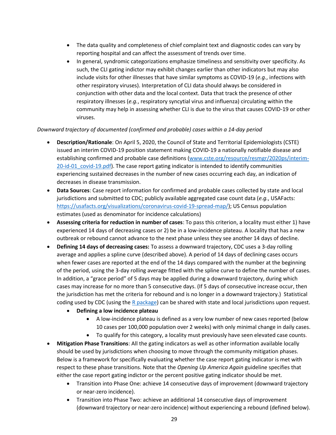- The data quality and completeness of chief complaint text and diagnostic codes can vary by reporting hospital and can affect the assessment of trends over time.
- In general, syndromic categorizations emphasize timeliness and sensitivity over specificity. As such, the CLI gating indictor may exhibit changes earlier than other indicators but may also include visits for other illnesses that have similar symptoms as COVID-19 (*e.g.*, infections with other respiratory viruses). Interpretation of CLI data should always be considered in conjunction with other data and the local context. Data that track the presence of other respiratory illnesses (*e.g.*, respiratory syncytial virus and influenza) circulating within the community may help in assessing whether CLI is due to the virus that causes COVID-19 or other viruses.

### *Downward trajectory of documented (confirmed and probable) cases within a 14-day period*

- **Description/Rationale**: On April 5, 2020, the Council of State and Territorial Epidemiologists (CSTE) issued an interim COVID-19 position statement making COVID-19 a nationally notifiable disease and establishing confirmed and probable case definitions [\(www.cste.org/resource/resmgr/2020ps/interim-](http://www.cste.org/resource/resmgr/2020ps/interim-20-id-01_covid-19.pdf)20-id-01 covid-19.pdf). The case report gating indicator is intended to identify communities experiencing sustained decreases in the number of new cases occurring each day, an indication of decreases in disease transmission.
- **Data Sources**: Case report information for confirmed and probable cases collected by state and local jurisdictions and submitted to CDC; publicly available aggregated case count data (*e.g.*, USAFacts: [https://usafacts.org/visualizations/coronavirus-covid-19-spread-map/\)](https://usafacts.org/visualizations/coronavirus-covid-19-spread-map/); US Census population estimates (used as denominator for incidence calculations)
- **Assessing criteria for reduction in number of cases**: To pass this criterion, a locality must either 1) have experienced 14 days of decreasing cases or 2) be in a low-incidence plateau. A locality that has a new outbreak or rebound cannot advance to the next phase unless they see another 14 days of decline.
- **Defining 14 days of decreasing cases:** To assess a downward trajectory, CDC uses a 3-day rolling average and applies a spline curve (described above). A period of 14 days of declining cases occurs when fewer cases are reported at the end of the 14 days compared with the number at the beginning of the period, using the 3-day rolling average fitted with the spline curve to define the number of cases. In addition, a "grace period" of 5 days may be applied during a downward trajectory, during which cases may increase for no more than 5 consecutive days. (If 5 days of consecutive increase occur, then the jurisdiction has met the criteria for rebound and is no longer in a downward trajectory.) Statistical coding used by CDC (using th[e R package\)](https://www.r-project.org/) can be shared with state and local jurisdictions upon request.
	- **Defining a low incidence plateau**
		- A low-incidence plateau is defined as a very low number of new cases reported (below 10 cases per 100,000 population over 2 weeks) with only minimal change in daily cases.
		- To qualify for this category, a locality must previously have seen elevated case counts.
- **Mitigation Phase Transitions**: All the gating indicators as well as other information available locally should be used by jurisdictions when choosing to move through the community mitigation phases. Below is a framework for specifically evaluating whether the case report gating indicator is met with respect to these phase transitions. Note that the *Opening Up America Again* guideline specifies that either the case report gating indictor or the percent positive gating indicator should be met.
	- Transition into Phase One: achieve 14 consecutive days of improvement (downward trajectory or near-zero incidence).
	- Transition into Phase Two: achieve an additional 14 consecutive days of improvement (downward trajectory or near-zero incidence) without experiencing a rebound (defined below).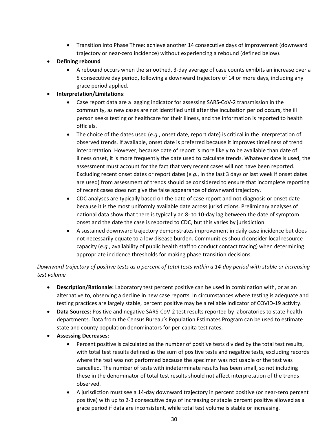- Transition into Phase Three: achieve another 14 consecutive days of improvement (downward trajectory or near-zero incidence) without experiencing a rebound (defined below).
- **Defining rebound**
	- A rebound occurs when the smoothed, 3-day average of case counts exhibits an increase over a 5 consecutive day period, following a downward trajectory of 14 or more days, including any grace period applied.
- **Interpretation/Limitations**:
	- Case report data are a lagging indicator for assessing SARS-CoV-2 transmission in the community, as new cases are not identified until after the incubation period occurs, the ill person seeks testing or healthcare for their illness, and the information is reported to health officials.
	- The choice of the dates used (*e.g.*, onset date, report date) is critical in the interpretation of observed trends. If available, onset date is preferred because it improves timeliness of trend interpretation. However, because date of report is more likely to be available than date of illness onset, it is more frequently the date used to calculate trends. Whatever date is used, the assessment must account for the fact that very recent cases will not have been reported. Excluding recent onset dates or report dates (*e.g.*, in the last 3 days or last week if onset dates are used) from assessment of trends should be considered to ensure that incomplete reporting of recent cases does not give the false appearance of downward trajectory.
	- CDC analyses are typically based on the date of case report and not diagnosis or onset date because it is the most uniformly available date across jurisdictions. Preliminary analyses of national data show that there is typically an 8- to 10-day lag between the date of symptom onset and the date the case is reported to CDC, but this varies by jurisdiction.
	- A sustained downward trajectory demonstrates improvement in daily case incidence but does not necessarily equate to a low disease burden. Communities should consider local resource capacity (*e.g.*, availability of public health staff to conduct contact tracing) when determining appropriate incidence thresholds for making phase transition decisions.

*Downward trajectory of positive tests as a percent of total tests within a 14-day period with stable or increasing test volume*

- **Description/Rationale:** Laboratory test percent positive can be used in combination with, or as an alternative to, observing a decline in new case reports. In circumstances where testing is adequate and testing practices are largely stable, percent positive may be a reliable indicator of COVID-19 activity.
- **Data Sources:** Positive and negative SARS-CoV-2 test results reported by laboratories to state health departments. Data from the Census Bureau's Population Estimates Program can be used to estimate state and county population denominators for per-capita test rates.
- **Assessing Decreases:** 
	- Percent positive is calculated as the number of positive tests divided by the total test results, with total test results defined as the sum of positive tests and negative tests, excluding records where the test was not performed because the specimen was not usable or the test was cancelled. The number of tests with indeterminate results has been small, so not including these in the denominator of total test results should not affect interpretation of the trends observed.
	- A jurisdiction must see a 14-day downward trajectory in percent positive (or near-zero percent positive) with up to 2-3 consecutive days of increasing or stable percent positive allowed as a grace period if data are inconsistent, while total test volume is stable or increasing.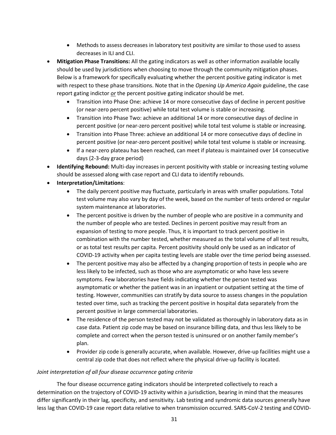- Methods to assess decreases in laboratory test positivity are similar to those used to assess decreases in ILI and CLI.
- **Mitigation Phase Transitions:** All the gating indicators as well as other information available locally should be used by jurisdictions when choosing to move through the community mitigation phases. Below is a framework for specifically evaluating whether the percent positive gating indicator is met with respect to these phase transitions. Note that in the *Opening Up America Again* guideline, the case report gating indictor *or* the percent positive gating indicator should be met.
	- Transition into Phase One: achieve 14 or more consecutive days of decline in percent positive (or near-zero percent positive) while total test volume is stable or increasing.
	- Transition into Phase Two: achieve an additional 14 or more consecutive days of decline in percent positive (or near-zero percent positive) while total test volume is stable or increasing.
	- Transition into Phase Three: achieve an additional 14 or more consecutive days of decline in percent positive (or near-zero percent positive) while total test volume is stable or increasing.
	- If a near-zero plateau has been reached, can meet if plateau is maintained over 14 consecutive days (2-3-day grace period)
- **Identifying Rebound:** Multi-day increases in percent positivity with stable or increasing testing volume should be assessed along with case report and CLI data to identify rebounds.
- **Interpretation/Limitations**:
	- The daily percent positive may fluctuate, particularly in areas with smaller populations. Total test volume may also vary by day of the week, based on the number of tests ordered or regular system maintenance at laboratories.
	- The percent positive is driven by the number of people who are positive in a community and the number of people who are tested. Declines in percent positive may result from an expansion of testing to more people. Thus, it is important to track percent positive in combination with the number tested, whether measured as the total volume of all test results, or as total test results per capita. Percent positivity should only be used as an indicator of COVID-19 activity when per capita testing levels are stable over the time period being assessed.
	- The percent positive may also be affected by a changing proportion of tests in people who are less likely to be infected, such as those who are asymptomatic or who have less severe symptoms. Few laboratories have fields indicating whether the person tested was asymptomatic or whether the patient was in an inpatient or outpatient setting at the time of testing. However, communities can stratify by data source to assess changes in the population tested over time, such as tracking the percent positive in hospital data separately from the percent positive in large commercial laboratories.
	- The residence of the person tested may not be validated as thoroughly in laboratory data as in case data. Patient zip code may be based on insurance billing data, and thus less likely to be complete and correct when the person tested is uninsured or on another family member's plan.
	- Provider zip code is generally accurate, when available. However, drive-up facilities might use a central zip code that does not reflect where the physical drive-up facility is located.

### *Joint interpretation of all four disease occurrence gating criteria*

The four disease occurrence gating indicators should be interpreted collectively to reach a determination on the trajectory of COVID-19 activity within a jurisdiction, bearing in mind that the measures differ significantly in their lag, specificity, and sensitivity. Lab testing and syndromic data sources generally have less lag than COVID-19 case report data relative to when transmission occurred. SARS-CoV-2 testing and COVID-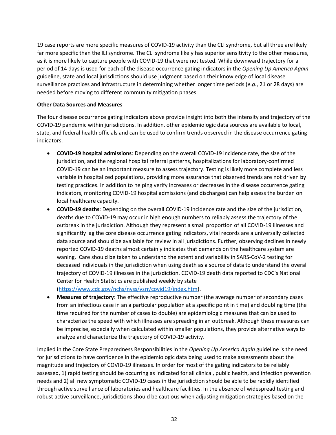19 case reports are more specific measures of COVID-19 activity than the CLI syndrome, but all three are likely far more specific than the ILI syndrome. The CLI syndrome likely has superior sensitivity to the other measures, as it is more likely to capture people with COVID-19 that were not tested. While downward trajectory for a period of 14 days is used for each of the disease occurrence gating indicators in the *Opening Up America Again* guideline, state and local jurisdictions should use judgment based on their knowledge of local disease surveillance practices and infrastructure in determining whether longer time periods (*e.g.*, 21 or 28 days) are needed before moving to different community mitigation phases.

### **Other Data Sources and Measures**

The four disease occurrence gating indicators above provide insight into both the intensity and trajectory of the COVID-19 pandemic within jurisdictions. In addition, other epidemiologic data sources are available to local, state, and federal health officials and can be used to confirm trends observed in the disease occurrence gating indicators.

- **COVID-19 hospital admissions**: Depending on the overall COVID-19 incidence rate, the size of the jurisdiction, and the regional hospital referral patterns, hospitalizations for laboratory-confirmed COVID-19 can be an important measure to assess trajectory. Testing is likely more complete and less variable in hospitalized populations, providing more assurance that observed trends are not driven by testing practices. In addition to helping verify increases or decreases in the disease occurrence gating indicators, monitoring COVID-19 hospital admissions (and discharges) can help assess the burden on local healthcare capacity.
- **COVID-19 deaths**: Depending on the overall COVID-19 incidence rate and the size of the jurisdiction, deaths due to COVID-19 may occur in high enough numbers to reliably assess the trajectory of the outbreak in the jurisdiction. Although they represent a small proportion of all COVID-19 illnesses and significantly lag the core disease occurrence gating indicators, vital records are a universally collected data source and should be available for review in all jurisdictions. Further, observing declines in newly reported COVID-19 deaths almost certainly indicates that demands on the healthcare system are waning. Care should be taken to understand the extent and variability in SARS-CoV-2 testing for deceased individuals in the jurisdiction when using death as a source of data to understand the overall trajectory of COVID-19 illnesses in the jurisdiction. COVID-19 death data reported to CDC's National Center for Health Statistics are published weekly by state [\(https://www.cdc.gov/nchs/nvss/vsrr/covid19/index.htm\)](https://www.cdc.gov/nchs/nvss/vsrr/covid19/index.htm).
- **Measures of trajectory**: The effective reproductive number (the average number of secondary cases from an infectious case in an a particular population at a specific point in time) and doubling time (the time required for the number of cases to double) are epidemiologic measures that can be used to characterize the speed with which illnesses are spreading in an outbreak. Although these measures can be imprecise, especially when calculated within smaller populations, they provide alternative ways to analyze and characterize the trajectory of COVID-19 activity.

Implied in the Core State Preparedness Responsibilities in the *Opening Up America Again* guideline is the need for jurisdictions to have confidence in the epidemiologic data being used to make assessments about the magnitude and trajectory of COVID-19 illnesses. In order for most of the gating indicators to be reliably assessed, 1) rapid testing should be occurring as indicated for all clinical, public health, and infection prevention needs and 2) all new symptomatic COVID-19 cases in the jurisdiction should be able to be rapidly identified through active surveillance of laboratories and healthcare facilities. In the absence of widespread testing and robust active surveillance, jurisdictions should be cautious when adjusting mitigation strategies based on the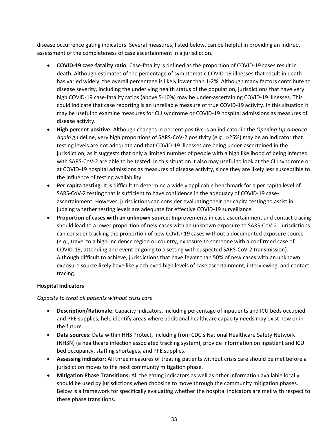disease occurrence gating indicators. Several measures, listed below, can be helpful in providing an indirect assessment of the completeness of case ascertainment in a jurisdiction.

- **COVID-19 case-fatality ratio**: Case-fatality is defined as the proportion of COVID-19 cases result in death. Although estimates of the percentage of symptomatic COVID-19 illnesses that result in death has varied widely, the overall percentage is likely lower than 1-2%. Although many factors contribute to disease severity, including the underlying health status of the population, jurisdictions that have very high COVID-19 case-fatality ratios (above 5-10%) may be under-ascertaining COVID-19 illnesses. This could indicate that case reporting is an unreliable measure of true COVID-19 activity. In this situation it may be useful to examine measures for CLI syndrome or COVID-19 hospital admissions as measures of disease activity.
- **High percent positive**: Although changes in percent positive is an indicator in the *Opening Up America Again* guideline, very high proportions of SARS-CoV-2 positivity (*e.g.*, >25%) may be an indicator that testing levels are not adequate and that COVID-19 illnesses are being under-ascertained in the jurisdiction, as it suggests that only a limited number of people with a high likelihood of being infected with SARS-CoV-2 are able to be tested. In this situation it also may useful to look at the CLI syndrome or at COVID-19 hospital admissions as measures of disease activity, since they are likely less susceptible to the influence of testing availability.
- **Per capita testing**: It is difficult to determine a widely applicable benchmark for a per capita level of SARS-CoV-2 testing that is sufficient to have confidence in the adequacy of COVID-19 caseascertainment. However, jurisdictions can consider evaluating their per capita testing to assist in judging whether testing levels are adequate for effective COVID-19 surveillance.
- **Proportion of cases with an unknown source**: Improvements in case ascertainment and contact tracing should lead to a lower proportion of new cases with an unknown exposure to SARS-CoV-2. Jurisdictions can consider tracking the proportion of new COVID-19 cases without a documented exposure source (*e.g.*, travel to a high-incidence region or country, exposure to someone with a confirmed case of COVID-19, attending and event or going to a setting with suspected SARS-CoV-2 transmission). Although difficult to achieve, jurisdictions that have fewer than 50% of new cases with an unknown exposure source likely have likely achieved high levels of case ascertainment, interviewing, and contact tracing.

### **Hospital Indicators**

### *Capacity to treat all patients without crisis care*

- **Description/Rationale**: Capacity indicators, including percentage of inpatients and ICU beds occupied and PPE supplies, help identify areas where additional healthcare capacity needs may exist now or in the future.
- **Data sources:** Data within HHS Protect, including from CDC's National Healthcare Safety Network (NHSN) (a healthcare infection associated tracking system), provide information on inpatient and ICU bed occupancy, staffing shortages, and PPE supplies.
- **Assessing indicator**: All three measures of treating patients without crisis care should be met before a jurisdiction moves to the next community mitigation phase.
- **Mitigation Phase Transitions:** All the gating indicators as well as other information available locally should be used by jurisdictions when choosing to move through the community mitigation phases. Below is a framework for specifically evaluating whether the hospital indicators are met with respect to these phase transitions.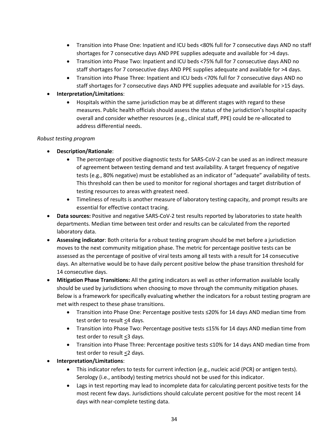- Transition into Phase One: Inpatient and ICU beds <80% full for 7 consecutive days AND no staff shortages for 7 consecutive days AND PPE supplies adequate and available for >4 days.
- Transition into Phase Two: Inpatient and ICU beds <75% full for 7 consecutive days AND no staff shortages for 7 consecutive days AND PPE supplies adequate and available for >4 days.
- Transition into Phase Three: Inpatient and ICU beds <70% full for 7 consecutive days AND no staff shortages for 7 consecutive days AND PPE supplies adequate and available for >15 days.

### • **Interpretation/Limitations**:

• Hospitals within the same jurisdiction may be at different stages with regard to these measures. Public health officials should assess the status of the jurisdiction's hospital capacity overall and consider whether resources (e.g., clinical staff, PPE) could be re-allocated to address differential needs.

### *Robust testing program*

- **Description/Rationale**:
	- The percentage of positive diagnostic tests for SARS-CoV-2 can be used as an indirect measure of agreement between testing demand and test availability. A target frequency of negative tests (e.g., 80% negative) must be established as an indicator of "adequate" availability of tests. This threshold can then be used to monitor for regional shortages and target distribution of testing resources to areas with greatest need.
	- Timeliness of results is another measure of laboratory testing capacity, and prompt results are essential for effective contact tracing.
- **Data sources:** Positive and negative SARS-CoV-2 test results reported by laboratories to state health departments. Median time between test order and results can be calculated from the reported laboratory data.
- **Assessing indicator**: Both criteria for a robust testing program should be met before a jurisdiction moves to the next community mitigation phase. The metric for percentage positive tests can be assessed as the percentage of positive of viral tests among all tests with a result for 14 consecutive days. An alternative would be to have daily percent positive below the phase transition threshold for 14 consecutive days.
- **Mitigation Phase Transitions:** All the gating indicators as well as other information available locally should be used by jurisdictions when choosing to move through the community mitigation phases. Below is a framework for specifically evaluating whether the indicators for a robust testing program are met with respect to these phase transitions.
	- Transition into Phase One: Percentage positive tests ≤20% for 14 days AND median time from test order to result <4 days.
	- Transition into Phase Two: Percentage positive tests ≤15% for 14 days AND median time from test order to result <3 days.
	- Transition into Phase Three: Percentage positive tests ≤10% for 14 days AND median time from test order to result  $\leq$ 2 days.
- **Interpretation/Limitations**:
	- This indicator refers to tests for current infection (e.g., nucleic acid (PCR) or antigen tests). Serology (i.e., antibody) testing metrics should not be used for this indicator.
	- Lags in test reporting may lead to incomplete data for calculating percent positive tests for the most recent few days. Jurisdictions should calculate percent positive for the most recent 14 days with near-complete testing data.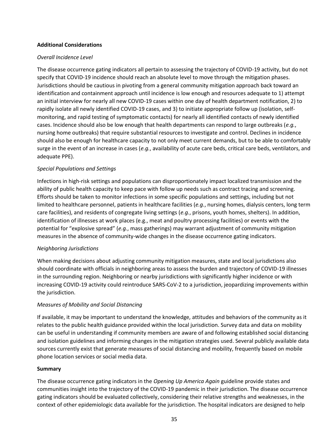### **Additional Considerations**

### *Overall Incidence Level*

The disease occurrence gating indicators all pertain to assessing the trajectory of COVID-19 activity, but do not specify that COVID-19 incidence should reach an absolute level to move through the mitigation phases. Jurisdictions should be cautious in pivoting from a general community mitigation approach back toward an identification and containment approach until incidence is low enough and resources adequate to 1) attempt an initial interview for nearly all new COVID-19 cases within one day of health department notification, 2) to rapidly isolate all newly identified COVID-19 cases, and 3) to initiate appropriate follow up (isolation, selfmonitoring, and rapid testing of symptomatic contacts) for nearly all identified contacts of newly identified cases. Incidence should also be low enough that health departments can respond to large outbreaks (*e.g.*, nursing home outbreaks) that require substantial resources to investigate and control. Declines in incidence should also be enough for healthcare capacity to not only meet current demands, but to be able to comfortably surge in the event of an increase in cases (*e.g.*, availability of acute care beds, critical care beds, ventilators, and adequate PPE).

### *Special Populations and Settings*

Infections in high-risk settings and populations can disproportionately impact localized transmission and the ability of public health capacity to keep pace with follow up needs such as contract tracing and screening. Efforts should be taken to monitor infections in some specific populations and settings, including but not limited to healthcare personnel, patients in healthcare facilities (*e.g.*, nursing homes, dialysis centers, long term care facilities), and residents of congregate living settings (*e.g.*, prisons, youth homes, shelters). In addition, identification of illnesses at work places (e.g., meat and poultry processing facilities) or events with the potential for "explosive spread" (*e.g.*, mass gatherings) may warrant adjustment of community mitigation measures in the absence of community-wide changes in the disease occurrence gating indicators.

### *Neighboring Jurisdictions*

When making decisions about adjusting community mitigation measures, state and local jurisdictions also should coordinate with officials in neighboring areas to assess the burden and trajectory of COVID-19 illnesses in the surrounding region. Neighboring or nearby jurisdictions with significantly higher incidence or with increasing COVID-19 activity could reintroduce SARS-CoV-2 to a jurisdiction, jeopardizing improvements within the jurisdiction.

### *Measures of Mobility and Social Distancing*

If available, it may be important to understand the knowledge, attitudes and behaviors of the community as it relates to the public health guidance provided within the local jurisdiction. Survey data and data on mobility can be useful in understanding if community members are aware of and following established social distancing and isolation guidelines and informing changes in the mitigation strategies used. Several publicly available data sources currently exist that generate measures of social distancing and mobility, frequently based on mobile phone location services or social media data.

### **Summary**

The disease occurrence gating indicators in the *Opening Up America Again* guideline provide states and communities insight into the trajectory of the COVID-19 pandemic in their jurisdiction. The disease occurrence gating indicators should be evaluated collectively, considering their relative strengths and weaknesses, in the context of other epidemiologic data available for the jurisdiction. The hospital indicators are designed to help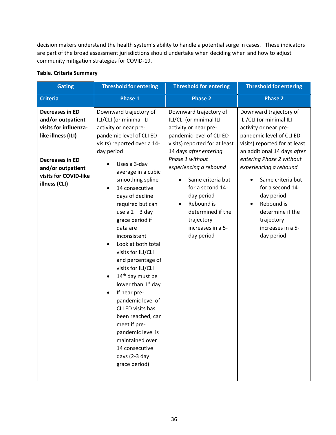decision makers understand the health system's ability to handle a potential surge in cases. These indicators are part of the broad assessment jurisdictions should undertake when deciding when and how to adjust community mitigation strategies for COVID-19.

|  |  | <b>Table. Criteria Summary</b> |
|--|--|--------------------------------|
|--|--|--------------------------------|

| <b>Gating</b>                                                                                                                                                                       | <b>Threshold for entering</b>                                                                                                                                                                                                                                                                                                                                                                                                                                                                                                                                                                                                                                                                                                                                   | <b>Threshold for entering</b>                                                                                                                                                                                                                                                                                                                                          | <b>Threshold for entering</b>                                                                                                                                                                                                                                                                                                                                                       |
|-------------------------------------------------------------------------------------------------------------------------------------------------------------------------------------|-----------------------------------------------------------------------------------------------------------------------------------------------------------------------------------------------------------------------------------------------------------------------------------------------------------------------------------------------------------------------------------------------------------------------------------------------------------------------------------------------------------------------------------------------------------------------------------------------------------------------------------------------------------------------------------------------------------------------------------------------------------------|------------------------------------------------------------------------------------------------------------------------------------------------------------------------------------------------------------------------------------------------------------------------------------------------------------------------------------------------------------------------|-------------------------------------------------------------------------------------------------------------------------------------------------------------------------------------------------------------------------------------------------------------------------------------------------------------------------------------------------------------------------------------|
| <b>Criteria</b>                                                                                                                                                                     | <b>Phase 1</b>                                                                                                                                                                                                                                                                                                                                                                                                                                                                                                                                                                                                                                                                                                                                                  | <b>Phase 2</b>                                                                                                                                                                                                                                                                                                                                                         | <b>Phase 2</b>                                                                                                                                                                                                                                                                                                                                                                      |
| <b>Decreases in ED</b><br>and/or outpatient<br>visits for influenza-<br>like illness (ILI)<br><b>Decreases in ED</b><br>and/or outpatient<br>visits for COVID-like<br>illness (CLI) | Downward trajectory of<br>ILI/CLI (or minimal ILI<br>activity or near pre-<br>pandemic level of CLI ED<br>visits) reported over a 14-<br>day period<br>Uses a 3-day<br>$\bullet$<br>average in a cubic<br>smoothing spline<br>14 consecutive<br>$\bullet$<br>days of decline<br>required but can<br>use a $2 - 3$ day<br>grace period if<br>data are<br>inconsistent<br>Look at both total<br>$\bullet$<br>visits for ILI/CLI<br>and percentage of<br>visits for ILI/CLI<br>14 <sup>th</sup> day must be<br>$\bullet$<br>lower than 1 <sup>st</sup> day<br>If near pre-<br>$\bullet$<br>pandemic level of<br>CLI ED visits has<br>been reached, can<br>meet if pre-<br>pandemic level is<br>maintained over<br>14 consecutive<br>days (2-3 day<br>grace period) | Downward trajectory of<br>ILI/CLI (or minimal ILI<br>activity or near pre-<br>pandemic level of CLI ED<br>visits) reported for at least<br>14 days after entering<br>Phase 1 without<br>experiencing a rebound<br>Same criteria but<br>for a second 14-<br>day period<br>Rebound is<br>$\bullet$<br>determined if the<br>trajectory<br>increases in a 5-<br>day period | Downward trajectory of<br>ILI/CLI (or minimal ILI<br>activity or near pre-<br>pandemic level of CLI ED<br>visits) reported for at least<br>an additional 14 days after<br>entering Phase 2 without<br>experiencing a rebound<br>Same criteria but<br>for a second 14-<br>day period<br>Rebound is<br>$\bullet$<br>determine if the<br>trajectory<br>increases in a 5-<br>day period |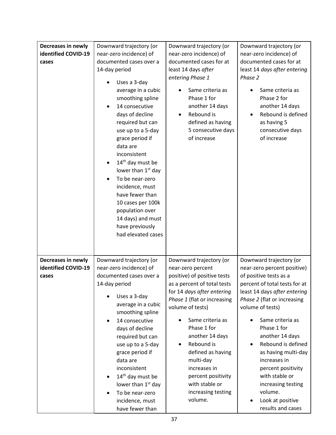| Decreases in newly<br>identified COVID-19<br>cases | Downward trajectory (or<br>near-zero incidence) of<br>documented cases over a<br>14-day period<br>Uses a 3-day<br>average in a cubic<br>smoothing spline<br>14 consecutive<br>days of decline<br>required but can<br>use up to a 5-day<br>grace period if<br>data are<br>inconsistent<br>14 <sup>th</sup> day must be<br>lower than 1 <sup>st</sup> day<br>To be near-zero<br>incidence, must<br>have fewer than<br>10 cases per 100k<br>population over<br>14 days) and must<br>have previously<br>had elevated cases | Downward trajectory (or<br>near-zero incidence) of<br>documented cases for at<br>least 14 days after<br>entering Phase 1<br>Same criteria as<br>Phase 1 for<br>another 14 days<br>Rebound is<br>$\bullet$<br>defined as having<br>5 consecutive days<br>of increase                                                                                                                        | Downward trajectory (or<br>near-zero incidence) of<br>documented cases for at<br>least 14 days after entering<br>Phase 2<br>Same criteria as<br>Phase 2 for<br>another 14 days<br>Rebound is defined<br>as having 5<br>consecutive days<br>of increase                                                                                                                                                                                    |
|----------------------------------------------------|------------------------------------------------------------------------------------------------------------------------------------------------------------------------------------------------------------------------------------------------------------------------------------------------------------------------------------------------------------------------------------------------------------------------------------------------------------------------------------------------------------------------|--------------------------------------------------------------------------------------------------------------------------------------------------------------------------------------------------------------------------------------------------------------------------------------------------------------------------------------------------------------------------------------------|-------------------------------------------------------------------------------------------------------------------------------------------------------------------------------------------------------------------------------------------------------------------------------------------------------------------------------------------------------------------------------------------------------------------------------------------|
| Decreases in newly<br>identified COVID-19<br>cases | Downward trajectory (or<br>near-zero incidence) of<br>documented cases over a<br>14-day period<br>Uses a 3-day<br>average in a cubic<br>smoothing spline<br>14 consecutive<br>days of decline<br>required but can<br>use up to a 5-day<br>grace period if<br>data are<br>inconsistent<br>14 <sup>th</sup> day must be<br>lower than 1 <sup>st</sup> day<br>To be near-zero<br>incidence, must<br>have fewer than                                                                                                       | Downward trajectory (or<br>near-zero percent<br>positive) of positive tests<br>as a percent of total tests<br>for 14 days after entering<br>Phase 1 (flat or increasing<br>volume of tests)<br>Same criteria as<br>Phase 1 for<br>another 14 days<br>Rebound is<br>defined as having<br>multi-day<br>increases in<br>percent positivity<br>with stable or<br>increasing testing<br>volume. | Downward trajectory (or<br>near-zero percent positive)<br>of positive tests as a<br>percent of total tests for at<br>least 14 days after entering<br>Phase 2 (flat or increasing<br>volume of tests)<br>Same criteria as<br>Phase 1 for<br>another 14 days<br>Rebound is defined<br>as having multi-day<br>increases in<br>percent positivity<br>with stable or<br>increasing testing<br>volume.<br>Look at positive<br>results and cases |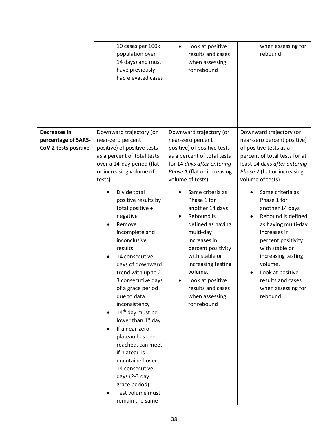|                      | 10 cases per 100k<br>population over<br>14 days) and must<br>have previously<br>had elevated cases                                                                                                                                                                                                                                                                                                                                                                                                                                          | Look at positive<br>$\bullet$<br>results and cases<br>when assessing<br>for rebound                                                                                                                                                                                   | when assessing for<br>rebound                                                                                                                                                                                                                                                   |
|----------------------|---------------------------------------------------------------------------------------------------------------------------------------------------------------------------------------------------------------------------------------------------------------------------------------------------------------------------------------------------------------------------------------------------------------------------------------------------------------------------------------------------------------------------------------------|-----------------------------------------------------------------------------------------------------------------------------------------------------------------------------------------------------------------------------------------------------------------------|---------------------------------------------------------------------------------------------------------------------------------------------------------------------------------------------------------------------------------------------------------------------------------|
| <b>Decreases in</b>  | Downward trajectory (or                                                                                                                                                                                                                                                                                                                                                                                                                                                                                                                     | Downward trajectory (or                                                                                                                                                                                                                                               | Downward trajectory (or                                                                                                                                                                                                                                                         |
| percentage of SARS-  | near-zero percent                                                                                                                                                                                                                                                                                                                                                                                                                                                                                                                           | near-zero percent                                                                                                                                                                                                                                                     | near-zero percent positive)                                                                                                                                                                                                                                                     |
| CoV-2 tests positive | positive) of positive tests<br>as a percent of total tests<br>over a 14-day period (flat<br>or increasing volume of<br>tests)                                                                                                                                                                                                                                                                                                                                                                                                               | positive) of positive tests<br>as a percent of total tests<br>for 14 days after entering<br>Phase 1 (flat or increasing<br>volume of tests)                                                                                                                           | of positive tests as a<br>percent of total tests for at<br>least 14 days after entering<br>Phase 2 (flat or increasing<br>volume of tests)                                                                                                                                      |
|                      | Divide total<br>positive results by<br>total positive +<br>negative<br>Remove<br>incomplete and<br>inconclusive<br>results<br>14 consecutive<br>days of downward<br>trend with up to 2-<br>3 consecutive days<br>of a grace period<br>due to data<br>inconsistency<br>14 <sup>th</sup> day must be<br>$\bullet$<br>lower than 1 <sup>st</sup> day<br>If a near-zero<br>plateau has been<br>reached, can meet<br>if plateau is<br>maintained over<br>14 consecutive<br>days (2-3 day<br>grace period)<br>Test volume must<br>remain the same | Same criteria as<br>Phase 1 for<br>another 14 days<br>Rebound is<br>defined as having<br>multi-day<br>increases in<br>percent positivity<br>with stable or<br>increasing testing<br>volume.<br>Look at positive<br>results and cases<br>when assessing<br>for rebound | Same criteria as<br>Phase 1 for<br>another 14 days<br>Rebound is defined<br>$\bullet$<br>as having multi-day<br>increases in<br>percent positivity<br>with stable or<br>increasing testing<br>volume.<br>Look at positive<br>results and cases<br>when assessing for<br>rebound |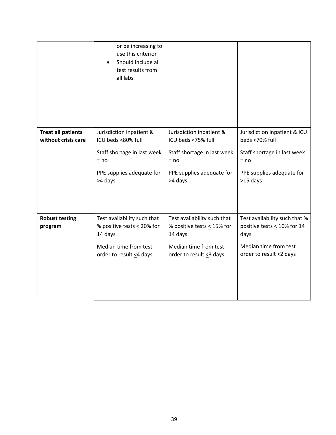|                                                  | or be increasing to<br>use this criterion<br>Should include all<br>test results from<br>all labs                                |                                                                                                                                 |                                                                                                                                  |
|--------------------------------------------------|---------------------------------------------------------------------------------------------------------------------------------|---------------------------------------------------------------------------------------------------------------------------------|----------------------------------------------------------------------------------------------------------------------------------|
|                                                  |                                                                                                                                 |                                                                                                                                 |                                                                                                                                  |
| <b>Treat all patients</b><br>without crisis care | Jurisdiction inpatient &<br>ICU beds <80% full<br>Staff shortage in last week<br>$= no$<br>PPE supplies adequate for<br>>4 days | Jurisdiction inpatient &<br>ICU beds <75% full<br>Staff shortage in last week<br>$= no$<br>PPE supplies adequate for<br>>4 days | Jurisdiction inpatient & ICU<br>beds <70% full<br>Staff shortage in last week<br>$= no$<br>PPE supplies adequate for<br>>15 days |
| <b>Robust testing</b><br>program                 | Test availability such that<br>% positive tests < 20% for<br>14 days<br>Median time from test<br>order to result <4 days        | Test availability such that<br>% positive tests $\leq$ 15% for<br>14 days<br>Median time from test<br>order to result <3 days   | Test availability such that %<br>positive tests $\leq$ 10% for 14<br>days<br>Median time from test<br>order to result <2 days    |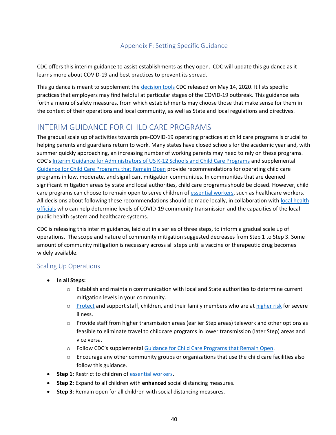# Appendix F: Setting Specific Guidance

<span id="page-39-0"></span>CDC offers this interim guidance to assist establishments as they open. CDC will update this guidance as it learns more about COVID-19 and best practices to prevent its spread.

This guidance is meant to supplement the [decision tools](https://www.cdc.gov/coronavirus/2019-ncov/community/index.html) CDC released on May 14, 2020. It lists specific practices that employers may find helpful at particular stages of the COVID-19 outbreak. This guidance sets forth a menu of safety measures, from which establishments may choose those that make sense for them in the context of their operations and local community, as well as State and local regulations and directives.

# INTERIM GUIDANCE FOR CHILD CARE PROGRAMS

The gradual scale up of activities towards pre-COVID-19 operating practices at child care programs is crucial to helping parents and guardians return to work. Many states have closed schools for the academic year and, with summer quickly approaching, an increasing number of working parents may need to rely on these programs. CDC's [Interim Guidance for Administrators of US K-12 Schools and Child Care Programs](https://www.cdc.gov/coronavirus/2019-ncov/community/schools-childcare/guidance-for-schools.html) and supplemental [Guidance for Child Care Programs that Remain Open](https://www.cdc.gov/coronavirus/2019-ncov/community/schools-childcare/guidance-for-childcare.html) provide recommendations for operating child care programs in low, moderate, and significant mitigation communities. In communities that are deemed significant mitigation areas by state and local authorities, child care programs should be closed. However, child care programs can choose to remain open to serve children o[f essential workers,](https://www.cisa.gov/identifying-critical-infrastructure-during-covid-19) such as healthcare workers. All decisions about following these recommendations should be made locally, in collaboration with local health [officials](https://www.cdc.gov/publichealthgateway/healthdirectories/index.html) who can help determine levels of COVID-19 community transmission and the capacities of the local public health system and healthcare systems.

CDC is releasing this interim guidance, laid out in a series of three steps, to inform a gradual scale up of operations. The scope and nature of community mitigation suggested decreases from Step 1 to Step 3. Some amount of community mitigation is necessary across all steps until a vaccine or therapeutic drug becomes widely available.

# Scaling Up Operations

- **In all Steps:**
	- $\circ$  Establish and maintain communication with local and State authorities to determine current mitigation levels in your community.
	- o [Protect](https://www.cdc.gov/coronavirus/2019-ncov/need-extra-precautions/what-you-can-do.html) and support staff, children, and their family members who are a[t higher risk](https://www.cdc.gov/coronavirus/2019-ncov/specific-groups/people-at-higher-risk.html) for severe illness.
	- o Provide staff from higher transmission areas (earlier Step areas) telework and other options as feasible to eliminate travel to childcare programs in lower transmission (later Step) areas and vice versa.
	- o Follow CDC's supplemental [Guidance for Child Care Programs that Remain Open.](https://www.cdc.gov/coronavirus/2019-ncov/community/schools-childcare/guidance-for-childcare.html)
	- $\circ$  Encourage any other community groups or organizations that use the child care facilities also follow this guidance.
- **Step 1**: Restrict to children o[f essential workers.](https://www.cisa.gov/identifying-critical-infrastructure-during-covid-19)
- **Step 2**: Expand to all children with **enhanced** social distancing measures.
- **Step 3**: Remain open for all children with social distancing measures.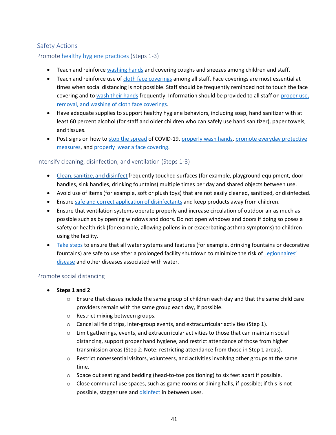# Safety Actions

### Promote [healthy hygiene practices](https://www.cdc.gov/coronavirus/2019-ncov/prevent-getting-sick/prevention.html) (Steps 1-3)

- Teach and reinforce [washing hands](https://www.cdc.gov/handwashing/when-how-handwashing.html) and covering coughs and sneezes among children and staff.
- Teach and reinforce use o[f cloth face coverings](https://www.cdc.gov/coronavirus/2019-ncov/prevent-getting-sick/diy-cloth-face-coverings.html) among all staff. Face coverings are most essential at times when social distancing is not possible. Staff should be frequently reminded not to touch the face covering and t[o wash their hands](https://www.cdc.gov/handwashing/when-how-handwashing.html) frequently. Information should be provided to all staff on proper use, [removal, and washing of cloth face coverings.](https://www.cdc.gov/coronavirus/2019-ncov/prevent-getting-sick/diy-cloth-face-coverings.html)
- Have adequate supplies to support healthy hygiene behaviors, including soap, hand sanitizer with at least 60 percent alcohol (for staff and older children who can safely use hand sanitizer), paper towels, and tissues.
- Post signs on how to [stop the spread](https://www.cdc.gov/coronavirus/2019-ncov/downloads/stop-the-spread-of-germs-11x17-en.pdf) of COVID-19[, properly wash hands,](https://www.cdc.gov/handwashing/posters.html) promote everyday protective [measures,](https://www.cdc.gov/coronavirus/2019-ncov/prevent-getting-sick/prevention-H.pdf) an[d properly wear a face covering.](https://www.cdc.gov/coronavirus/2019-ncov/images/face-covering-checklist.jpg)

### Intensify cleaning, disinfection, and ventilation (Steps 1-3)

- Clean, sanitize, and disinfect frequently touched surfaces (for example, playground equipment, door handles, sink handles, drinking fountains) multiple times per day and shared objects between use.
- Avoid use of items (for example, soft or plush toys) that are not easily cleaned, sanitized, or disinfected.
- Ensur[e safe and correct application of disinfectants](https://www.cdc.gov/coronavirus/2019-ncov/community/disinfecting-building-facility.html) and keep products away from children.
- Ensure that ventilation systems operate properly and increase circulation of outdoor air as much as possible such as by opening windows and doors. Do not open windows and doors if doing so poses a safety or health risk (for example, allowing pollens in or exacerbating asthma symptoms) to children using the facility.
- [Take steps](https://www.cdc.gov/coronavirus/2019-ncov/php/building-water-system.html) to ensure that all water systems and features (for example, drinking fountains or decorative fountains) are safe to use after a prolonged facility shutdown to minimize the risk of Legionnaires' [disease](https://www.cdc.gov/legionella/wmp/index.html) and other diseases associated with water.

### Promote social distancing

- **Steps 1 and 2**
	- $\circ$  Ensure that classes include the same group of children each day and that the same child care providers remain with the same group each day, if possible.
	- o Restrict mixing between groups.
	- $\circ$  Cancel all field trips, inter-group events, and extracurricular activities (Step 1).
	- $\circ$  Limit gatherings, events, and extracurricular activities to those that can maintain social distancing, support proper hand hygiene, and restrict attendance of those from higher transmission areas (Step 2; Note: restricting attendance from those in Step 1 areas).
	- $\circ$  Restrict nonessential visitors, volunteers, and activities involving other groups at the same time.
	- $\circ$  Space out seating and bedding (head-to-toe positioning) to six feet apart if possible.
	- $\circ$  Close communal use spaces, such as game rooms or dining halls, if possible; if this is not possible, stagger use and [disinfect](https://www.cdc.gov/coronavirus/2019-ncov/community/disinfecting-building-facility.html) in between uses.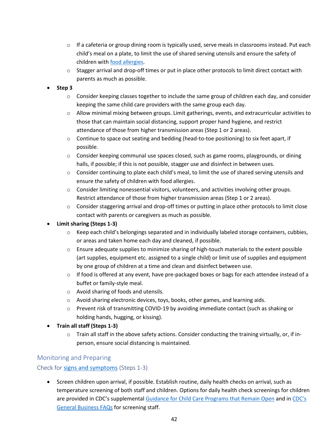- $\circ$  If a cafeteria or group dining room is typically used, serve meals in classrooms instead. Put each child's meal on a plate, to limit the use of shared serving utensils and ensure the safety of children wit[h food allergies.](https://www.cdc.gov/healthyschools/foodallergies/pdf/13_243135_A_Food_Allergy_Web_508.pdf)
- $\circ$  Stagger arrival and drop-off times or put in place other protocols to limit direct contact with parents as much as possible.

### • **Step 3**

- $\circ$  Consider keeping classes together to include the same group of children each day, and consider keeping the same child care providers with the same group each day.
- $\circ$  Allow minimal mixing between groups. Limit gatherings, events, and extracurricular activities to those that can maintain social distancing, support proper hand hygiene, and restrict attendance of those from higher transmission areas (Step 1 or 2 areas).
- $\circ$  Continue to space out seating and bedding (head-to-toe positioning) to six feet apart, if possible.
- o Consider keeping communal use spaces closed, such as game rooms, playgrounds, or dining halls, if possible; if this is not possible, stagger use and disinfect in between uses.
- o Consider continuing to plate each child's meal, to limit the use of shared serving utensils and ensure the safety of children with food allergies.
- o Consider limiting nonessential visitors, volunteers, and activities involving other groups. Restrict attendance of those from higher transmission areas (Step 1 or 2 areas).
- o Consider staggering arrival and drop-off times or putting in place other protocols to limit close contact with parents or caregivers as much as possible.

### • **Limit sharing (Steps 1-3)**

- o Keep each child's belongings separated and in individually labeled storage containers, cubbies, or areas and taken home each day and cleaned, if possible.
- $\circ$  Ensure adequate supplies to minimize sharing of high-touch materials to the extent possible (art supplies, equipment etc. assigned to a single child) or limit use of supplies and equipment by one group of children at a time and clean and disinfect between use.
- $\circ$  If food is offered at any event, have pre-packaged boxes or bags for each attendee instead of a buffet or family-style meal.
- o Avoid sharing of foods and utensils.
- $\circ$  Avoid sharing electronic devices, toys, books, other games, and learning aids.
- $\circ$  Prevent risk of transmitting COVID-19 by avoiding immediate contact (such as shaking or holding hands, hugging, or kissing).
- **Train all staff (Steps 1-3)**
	- $\circ$  Train all staff in the above safety actions. Consider conducting the training virtually, or, if inperson, ensure social distancing is maintained.

# Monitoring and Preparing

# Check for [signs and symptoms](https://www.cdc.gov/coronavirus/2019-ncov/symptoms-testing/symptoms.html) (Steps 1-3)

• Screen children upon arrival, if possible. Establish routine, daily health checks on arrival, such as temperature screening of both staff and children. Options for daily health check screenings for children are provided in CDC's supplemental [Guidance for Child Care Programs that Remain Open](https://www.cdc.gov/coronavirus/2019-ncov/community/schools-childcare/guidance-for-childcare.html) and in CDC's [General Business FAQs](https://www.cdc.gov/coronavirus/2019-ncov/community/general-business-faq.html) for screening staff.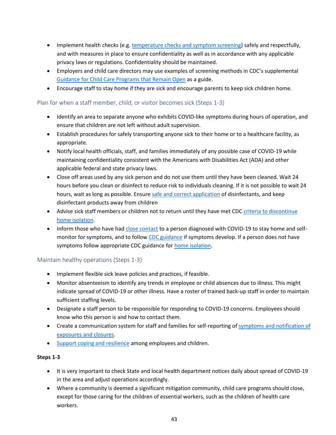- Implement health checks (e.g. [temperature checks and symptom screening\)](https://www.cdc.gov/coronavirus/2019-ncov/community/schools-childcare/guidance-for-childcare.html#ScreenChildren) safely and respectfully, and with measures in place to ensure confidentiality as well as in accordance with any applicable privacy laws or regulations. Confidentiality should be maintained.
- Employers and child care directors may use examples of screening methods in CDC's supplemental [Guidance for Child Care Programs that Remain Open](https://www.cdc.gov/coronavirus/2019-ncov/community/schools-childcare/guidance-for-childcare.html) as a guide.
- Encourage staff to stay home if they are sick and encourage parents to keep sick children home.

### Plan for when a staff member, child, or visitor becomes sick (Steps 1-3)

- Identify an area to separate anyone who exhibits COVID-like symptoms during hours of operation, and ensure that children are not left without adult supervision.
- Establish procedures for safely transporting anyone sick to their home or to a healthcare facility, as appropriate.
- Notify local health officials, staff, and families immediately of any possible case of COVID-19 while maintaining confidentiality consistent with the Americans with Disabilities Act (ADA) and other applicable federal and state privacy laws.
- Close off areas used by any sick person and do not use them until they have been cleaned. Wait 24 hours before you clean or disinfect to reduce risk to individuals cleaning. If it is not possible to wait 24 hours, wait as long as possible. Ensur[e safe and correct application](https://www.cdc.gov/coronavirus/2019-ncov/community/disinfecting-building-facility.html) of disinfectants, and keep disinfectant products away from children
- Advise sick staff members or children not to return until they have met CDC criteria to discontinue [home isolation.](https://www.cdc.gov/coronavirus/2019-ncov/if-you-are-sick/steps-when-sick.html)
- Inform those who have had [close contact](https://www.cdc.gov/coronavirus/2019-ncov/php/public-health-recommendations.html) to a person diagnosed with COVID-19 to stay home and selfmonitor for symptoms, and to follow [CDC guidance](https://www.cdc.gov/coronavirus/2019-ncov/if-you-are-sick/steps-when-sick.html) if symptoms develop. If a person does not have symptoms follow appropriate CDC guidance fo[r home isolation.](https://www.cdc.gov/coronavirus/2019-ncov/php/public-health-recommendations.html)

### Maintain healthy operations (Steps 1-3)

- Implement flexible sick leave policies and practices, if feasible.
- Monitor absenteeism to identify any trends in employee or child absences due to illness. This might indicate spread of COVID-19 or other illness. Have a roster of trained back-up staff in order to maintain sufficient staffing levels.
- Designate a staff person to be responsible for responding to COVID-19 concerns. Employees should know who this person is and how to contact them.
- Create a communication system for staff and families for self-reporting of symptoms and notification of [exposures and closures.](https://www.cdc.gov/coronavirus/2019-ncov/symptoms-testing/index.html)
- [Support coping and resilience](https://www.cdc.gov/coronavirus/2019-ncov/daily-life-coping/managing-stress-anxiety.html) among employees and children.

### **Steps 1-3**

- It is very important to check State and local health department notices daily about spread of COVID-19 in the area and adjust operations accordingly.
- Where a community is deemed a significant mitigation community, child care programs should close, except for those caring for the children of essential workers, such as the children of health care workers.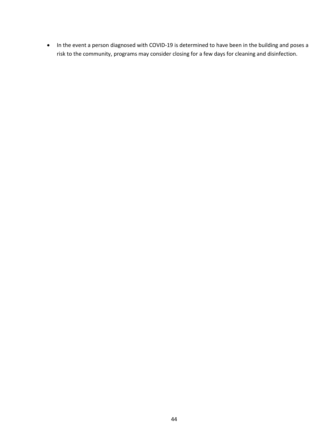• In the event a person diagnosed with COVID-19 is determined to have been in the building and poses a risk to the community, programs may consider closing for a few days for cleaning and disinfection.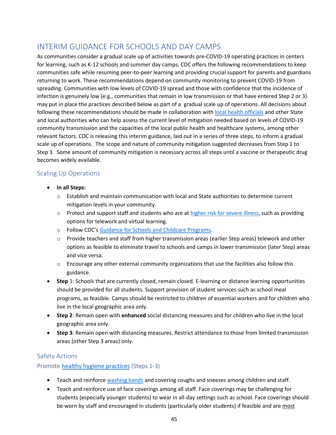# INTERIM GUIDANCE FOR SCHOOLS AND DAY CAMPS

As communities consider a gradual scale up of activities towards pre-COVID-19 operating practices in centers for learning, such as K-12 schools and summer day camps, CDC offers the following recommendations to keep communities safe while resuming peer-to-peer learning and providing crucial support for parents and guardians returning to work. These recommendations depend on community monitoring to prevent COVID-19 from spreading. Communities with low levels of COVID-19 spread and those with confidence that the incidence of infection is genuinely low (e.g., communities that remain in low transmission or that have entered Step 2 or 3) may put in place the practices described below as part of a gradual scale up of operations. All decisions about following these recommendations should be made in collaboration wit[h local health officials](https://www.cdc.gov/publichealthgateway/healthdirectories/index.html) and other State and local authorities who can help assess the current level of mitigation needed based on levels of COVID-19 community transmission and the capacities of the local public health and healthcare systems, among other relevant factors. CDC is releasing this interim guidance, laid out in a series of three steps, to inform a gradual scale up of operations. The scope and nature of community mitigation suggested decreases from Step 1 to Step 3. Some amount of community mitigation is necessary across all steps until a vaccine or therapeutic drug becomes widely available.

# Scaling Up Operations

- **In all Steps:**
	- o Establish and maintain communication with local and State authorities to determine current mitigation levels in your community.
	- $\circ$  Protect and support staff and students who are at [higher risk for severe illness,](https://www.cdc.gov/coronavirus/2019-ncov/specific-groups/people-at-higher-risk.html) such as providing options for telework and virtual learning.
	- o Follow CDC's [Guidance for Schools and Childcare Programs.](https://www.cdc.gov/coronavirus/2019-ncov/community/schools-childcare/index.html)
	- o Provide teachers and staff from higher transmission areas (earlier Step areas) telework and other options as feasible to eliminate travel to schools and camps in lower transmission (later Step) areas and vice versa.
	- $\circ$  Encourage any other external community organizations that use the facilities also follow this guidance.
- **Step** 1: Schools that are currently closed, remain closed. E-learning or distance learning opportunities should be provided for all students. Support provision of student services such as school meal programs, as feasible. Camps should be restricted to children of essential workers and for children who live in the local geographic area only.
- **Step 2**: Remain open with **enhanced** social distancing measures and for children who live in the local geographic area only.
- **Step 3**: Remain open with distancing measures. Restrict attendance to those from limited transmission areas (other Step 3 areas) only.

# Safety Actions

Promote [healthy hygiene practices](https://www.cdc.gov/coronavirus/2019-ncov/prevent-getting-sick/prevention.html) (Steps 1-3)

- Teach and reinforce [washing hands](https://www.cdc.gov/handwashing/when-how-handwashing.html) and covering coughs and sneezes among children and staff.
- Teach and reinforce use of face coverings among all staff. Face coverings may be challenging for students (especially younger students) to wear in all-day settings such as school. Face coverings should be worn by staff and encouraged in students (particularly older students) if feasible and are most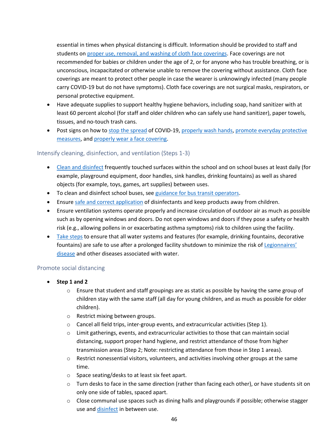essential in times when physical distancing is difficult. Information should be provided to staff and students on [proper use, removal, and washing of cloth face coverings.](https://www.cdc.gov/coronavirus/2019-ncov/prevent-getting-sick/diy-cloth-face-coverings.html) Face coverings are not recommended for babies or children under the age of 2, or for anyone who has trouble breathing, or is unconscious, incapacitated or otherwise unable to remove the covering without assistance. Cloth face coverings are meant to protect other people in case the wearer is unknowingly infected (many people carry COVID-19 but do not have symptoms). Cloth face coverings are not surgical masks, respirators, or personal protective equipment.

- Have adequate supplies to support healthy hygiene behaviors, including soap, hand sanitizer with at least 60 percent alcohol (for staff and older children who can safely use hand sanitizer), paper towels, tissues, and no-touch trash cans.
- Post signs on how to [stop the spread](https://www.cdc.gov/coronavirus/2019-ncov/downloads/stop-the-spread-of-germs-11x17-en.pdf) of COVID-19[, properly wash hands,](https://www.cdc.gov/handwashing/posters.html) promote everyday protective [measures,](https://www.cdc.gov/coronavirus/2019-ncov/prevent-getting-sick/prevention-H.pdf) an[d properly wear a face covering.](https://www.cdc.gov/coronavirus/2019-ncov/images/face-covering-checklist.jpg)

### Intensify cleaning, disinfection, and ventilation (Steps 1-3)

- [Clean and disinfect](https://www.cdc.gov/coronavirus/2019-ncov/community/disinfecting-building-facility.html) frequently touched surfaces within the school and on school buses at least daily (for example, playground equipment, door handles, sink handles, drinking fountains) as well as shared objects (for example, toys, games, art supplies) between uses.
- To clean and disinfect school buses, see [guidance for bus transit operators.](https://www.cdc.gov/coronavirus/2019-ncov/community/organizations/bus-transit-operator.html)
- Ensur[e safe and correct application](https://www.cdc.gov/coronavirus/2019-ncov/community/disinfecting-building-facility.html) of disinfectants and keep products away from children.
- Ensure ventilation systems operate properly and increase circulation of outdoor air as much as possible such as by opening windows and doors. Do not open windows and doors if they pose a safety or health risk (e.g., allowing pollens in or exacerbating asthma symptoms) risk to children using the facility.
- [Take steps](https://www.cdc.gov/coronavirus/2019-ncov/php/building-water-system.html) to ensure that all water systems and features (for example, drinking fountains, decorative fountains) are safe to use after a prolonged facility shutdown to minimize the risk of [Legionnaires'](https://www.cdc.gov/legionella/wmp/index.html)  [disease](https://www.cdc.gov/legionella/wmp/index.html) and other diseases associated with water.

### Promote social distancing

- **Step 1 and 2**
	- $\circ$  Ensure that student and staff groupings are as static as possible by having the same group of children stay with the same staff (all day for young children, and as much as possible for older children).
	- o Restrict mixing between groups.
	- $\circ$  Cancel all field trips, inter-group events, and extracurricular activities (Step 1).
	- $\circ$  Limit gatherings, events, and extracurricular activities to those that can maintain social distancing, support proper hand hygiene, and restrict attendance of those from higher transmission areas (Step 2; Note: restricting attendance from those in Step 1 areas).
	- $\circ$  Restrict nonessential visitors, volunteers, and activities involving other groups at the same time.
	- o Space seating/desks to at least six feet apart.
	- $\circ$  Turn desks to face in the same direction (rather than facing each other), or have students sit on only one side of tables, spaced apart.
	- o Close communal use spaces such as dining halls and playgrounds if possible; otherwise stagger use and [disinfect](https://www.cdc.gov/coronavirus/2019-ncov/community/disinfecting-building-facility.html) in between use.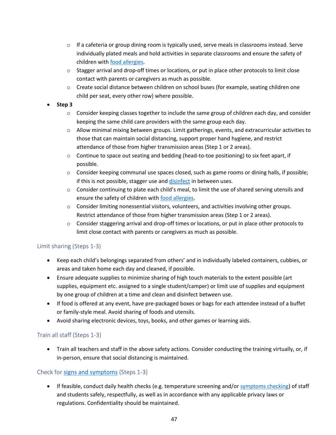- o If a cafeteria or group dining room is typically used, serve meals in classrooms instead. Serve individually plated meals and hold activities in separate classrooms and ensure the safety of children wit[h food allergies.](https://www.cdc.gov/healthyschools/foodallergies/pdf/13_243135_A_Food_Allergy_Web_508.pdf)
- $\circ$  Stagger arrival and drop-off times or locations, or put in place other protocols to limit close contact with parents or caregivers as much as possible.
- o Create social distance between children on school buses (for example, seating children one child per seat, every other row) where possible.

### • **Step 3**

- $\circ$  Consider keeping classes together to include the same group of children each day, and consider keeping the same child care providers with the same group each day.
- $\circ$  Allow minimal mixing between groups. Limit gatherings, events, and extracurricular activities to those that can maintain social distancing, support proper hand hygiene, and restrict attendance of those from higher transmission areas (Step 1 or 2 areas).
- $\circ$  Continue to space out seating and bedding (head-to-toe positioning) to six feet apart, if possible.
- o Consider keeping communal use spaces closed, such as game rooms or dining halls, if possible; if this is not possible, stagger use and [disinfect](https://www.cdc.gov/coronavirus/2019-ncov/community/disinfecting-building-facility.html) in between uses.
- o Consider continuing to plate each child's meal, to limit the use of shared serving utensils and ensure the safety of children wit[h food allergies.](https://www.cdc.gov/healthyschools/foodallergies/pdf/13_243135_A_Food_Allergy_Web_508.pdf)
- $\circ$  Consider limiting nonessential visitors, volunteers, and activities involving other groups. Restrict attendance of those from higher transmission areas (Step 1 or 2 areas).
- o Consider staggering arrival and drop-off times or locations, or put in place other protocols to limit close contact with parents or caregivers as much as possible.

# Limit sharing (Steps 1-3)

- Keep each child's belongings separated from others' and in individually labeled containers, cubbies, or areas and taken home each day and cleaned, if possible.
- Ensure adequate supplies to minimize sharing of high touch materials to the extent possible (art supplies, equipment etc. assigned to a single student/camper) or limit use of supplies and equipment by one group of children at a time and clean and disinfect between use.
- If food is offered at any event, have pre-packaged boxes or bags for each attendee instead of a buffet or family-style meal. Avoid sharing of foods and utensils.
- Avoid sharing electronic devices, toys, books, and other games or learning aids.

# Train all staff (Steps 1-3)

• Train all teachers and staff in the above safety actions. Consider conducting the training virtually, or, if in-person, ensure that social distancing is maintained.

### Check for [signs and symptoms](https://www.cdc.gov/coronavirus/2019-ncov/symptoms-testing/symptoms.html) (Steps 1-3)

• If feasible, conduct daily health checks (e.g. temperature screening and/or [symptoms checking\)](https://www.cdc.gov/coronavirus/2019-ncov/symptoms-testing/symptoms.html?CDC_AA_refVal=https%3A%2F%2Fwww.cdc.gov%2Fcoronavirus%2F2019-ncov%2Fabout%2Fsymptoms.html) of staff and students safely, respectfully, as well as in accordance with any applicable privacy laws or regulations. Confidentiality should be maintained.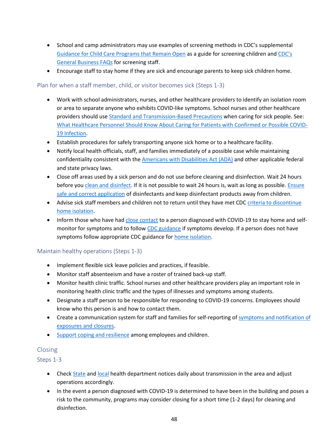- School and camp administrators may use examples of screening methods in CDC's supplemental [Guidance for Child Care Programs that Remain Open](https://www.cdc.gov/coronavirus/2019-ncov/community/schools-childcare/guidance-for-childcare.html) as a guide for screening children and [CDC's](https://www.cdc.gov/coronavirus/2019-ncov/community/general-business-faq.html)  [General Business FAQs](https://www.cdc.gov/coronavirus/2019-ncov/community/general-business-faq.html) for screening staff.
- Encourage staff to stay home if they are sick and encourage parents to keep sick children home.

### Plan for when a staff member, child, or visitor becomes sick (Steps 1-3)

- Work with school administrators, nurses, and other healthcare providers to identify an isolation room or area to separate anyone who exhibits COVID-like symptoms. School nurses and other healthcare providers should use **Standard and Transmission-Based Precautions** when caring for sick people. See: [What Healthcare Personnel Should Know About Caring for Patients with](https://www.cdc.gov/coronavirus/2019-nCoV/hcp/index.html?CDC_AA_refVal=https%3A%2F%2Fwww.cdc.gov%2Fcoronavirus%2F2019-ncov%2Fhcp%2Fcaring-for-patients.html) Confirmed or Possible COVID-[19 Infection.](https://www.cdc.gov/coronavirus/2019-nCoV/hcp/index.html?CDC_AA_refVal=https%3A%2F%2Fwww.cdc.gov%2Fcoronavirus%2F2019-ncov%2Fhcp%2Fcaring-for-patients.html)
- Establish procedures for safely transporting anyone sick home or to a healthcare facility.
- Notify local health officials, staff, and families immediately of a possible case while maintaining confidentiality consistent with th[e Americans with Disabilities Act \(ADA\)](https://www.eeoc.gov/facts/pandemic_flu.html) and other applicable federal and state privacy laws.
- Close off areas used by a sick person and do not use before cleaning and disinfection. Wait 24 hours before yo[u clean and disinfect.](https://www.cdc.gov/coronavirus/2019-ncov/community/disinfecting-building-facility.html) If it is not possible to wait 24 hours is, wait as long as possible. [Ensure](https://www.cdc.gov/coronavirus/2019-ncov/community/disinfecting-building-facility.html)  [safe and correct application](https://www.cdc.gov/coronavirus/2019-ncov/community/disinfecting-building-facility.html) of disinfectants and keep disinfectant products away from children.
- Advise sick staff members and children not to return until they have met CDC [criteria to discontinue](https://www.cdc.gov/coronavirus/2019-ncov/if-you-are-sick/steps-when-sick.html)  [home isolation.](https://www.cdc.gov/coronavirus/2019-ncov/if-you-are-sick/steps-when-sick.html)
- Inform those who have had [close contact](https://www.cdc.gov/coronavirus/2019-ncov/php/public-health-recommendations.html) to a person diagnosed with COVID-19 to stay home and self-monitor for symptoms and to follow [CDC guidance](https://www.cdc.gov/coronavirus/2019-ncov/if-you-are-sick/steps-when-sick.html) if symptoms develop. If a person does not have symptoms follow appropriate CDC guidance fo[r home isolation.](https://www.cdc.gov/coronavirus/2019-ncov/php/public-health-recommendations.html)

### Maintain healthy operations (Steps 1-3)

- Implement flexible sick leave policies and practices, if feasible.
- Monitor staff absenteeism and have a roster of trained back-up staff.
- Monitor health clinic traffic. School nurses and other healthcare providers play an important role in monitoring health clinic traffic and the types of illnesses and symptoms among students.
- Designate a staff person to be responsible for responding to COVID-19 concerns. Employees should know who this person is and how to contact them.
- Create a communication system for staff and families for self-reporting of symptoms and notification of [exposures and closures.](https://www.cdc.gov/coronavirus/2019-ncov/symptoms-testing/index.html)
- [Support coping and resilience](https://www.cdc.gov/coronavirus/2019-ncov/daily-life-coping/managing-stress-anxiety.html) among employees and children.

### Closing

### Steps 1-3

- Check [State](https://www.cdc.gov/publichealthgateway/healthdirectories/healthdepartments.html) an[d local](https://www.naccho.org/membership/lhd-directory) health department notices daily about transmission in the area and adjust operations accordingly.
- In the event a person diagnosed with COVID-19 is determined to have been in the building and poses a risk to the community, programs may consider closing for a short time (1-2 days) for cleaning and disinfection.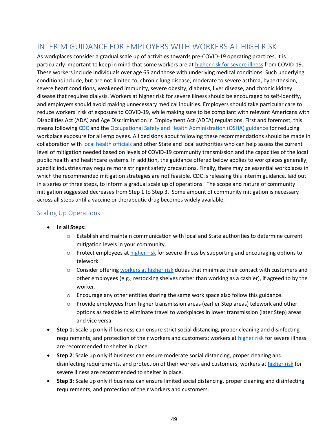# INTERIM GUIDANCE FOR EMPLOYERS WITH WORKERS AT HIGH RISK

As workplaces consider a gradual scale up of activities towards pre-COVID-19 operating practices, it is particularly important to keep in mind that some workers are a[t higher risk for severe illness](https://www.cdc.gov/coronavirus/2019-ncov/need-extra-precautions/people-at-higher-risk.html) from COVID-19. These workers include individuals over age 65 and those with underlying medical conditions. Such underlying conditions include, but are not limited to, chronic lung disease, moderate to severe asthma, hypertension, severe heart conditions, weakened immunity, severe obesity, diabetes, liver disease, and chronic kidney disease that requires dialysis. Workers at higher risk for severe illness should be encouraged to self-identify, and employers should avoid making unnecessary medical inquiries. Employers should take particular care to reduce workers' risk of exposure to COVID-19, while making sure to be compliant with relevant Americans with Disabilities Act (ADA) and Age Discrimination in Employment Act (ADEA) regulations. First and foremost, this means followin[g CDC](https://www.cdc.gov/coronavirus/2019-ncov/community/organizations/businesses-employers.html) and the [Occupational Safety and Health Administration \(OSHA\) guidance](https://www.osha.gov/SLTC/covid-19/) for reducing workplace exposure for all employees. All decisions about following these recommendations should be made in collaboration wit[h local health officials](https://www.naccho.org/membership/lhd-directory) and other State and local authorities who can help assess the current level of mitigation needed based on levels of COVID-19 community transmission and the capacities of the local public health and healthcare systems. In addition, the guidance offered below applies to workplaces generally; specific industries may require more stringent safety precautions. Finally, there may be essential workplaces in which the recommended mitigation strategies are not feasible. CDC is releasing this interim guidance, laid out in a series of three steps, to inform a gradual scale up of operations. The scope and nature of community mitigation suggested decreases from Step 1 to Step 3. Some amount of community mitigation is necessary across all steps until a vaccine or therapeutic drug becomes widely available.

# Scaling Up Operations

- **In all Steps:**
	- $\circ$  Establish and maintain communication with local and State authorities to determine current mitigation levels in your community.
	- $\circ$  Protect employees at **higher risk** for severe illness by supporting and encouraging options to telework.
	- o Consider offering [workers at higher risk](https://www.cdc.gov/coronavirus/2019-ncov/specific-groups/people-at-higher-risk.html) duties that minimize their contact with customers and other employees (e.g., restocking shelves rather than working as a cashier), if agreed to by the worker.
	- $\circ$  Encourage any other entities sharing the same work space also follow this guidance.
	- $\circ$  Provide employees from higher transmission areas (earlier Step areas) telework and other options as feasible to eliminate travel to workplaces in lower transmission (later Step) areas and vice versa.
- **Step 1**: Scale up only if business can ensure strict social distancing, proper cleaning and disinfecting requirements, and protection of their workers and customers; workers a[t higher risk](https://www.cdc.gov/coronavirus/2019-ncov/specific-groups/people-at-higher-risk.html) for severe illness are recommended to shelter in place.
- **Step 2**: Scale up only if business can ensure moderate social distancing, proper cleaning and disinfecting requirements, and protection of their workers and customers; workers a[t higher risk](https://www.cdc.gov/coronavirus/2019-ncov/specific-groups/people-at-higher-risk.html) for severe illness are recommended to shelter in place.
- **Step 3**: Scale up only if business can ensure limited social distancing, proper cleaning and disinfecting requirements, and protection of their workers and customers.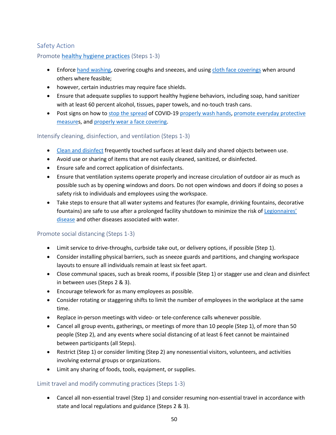# Safety Action

### Promote [healthy hygiene practices](https://www.cdc.gov/coronavirus/2019-ncov/prevent-getting-sick/prevention.html) (Steps 1-3)

- Enforce [hand washing,](https://www.cdc.gov/handwashing/when-how-handwashing.html) covering coughs and sneezes, and using [cloth face coverings](https://www.cdc.gov/coronavirus/2019-ncov/prevent-getting-sick/diy-cloth-face-coverings.html) when around others where feasible;
- however, certain industries may require face shields.
- Ensure that adequate supplies to support healthy hygiene behaviors, including soap, hand sanitizer with at least 60 percent alcohol, tissues, paper towels, and no-touch trash cans.
- Post signs on how to [stop the spread](https://www.cdc.gov/coronavirus/2019-ncov/downloads/stop-the-spread-of-germs-11x17-en.pdf) of COVID-19 [properly wash hands,](https://www.cdc.gov/handwashing/posters.html) promote everyday protective [measures](https://www.cdc.gov/coronavirus/2019-ncov/prevent-getting-sick/prevention-H.pdf), an[d properly wear a face covering.](https://www.cdc.gov/coronavirus/2019-ncov/prevent-getting-sick/diy-cloth-face-coverings.html)

### Intensify cleaning, disinfection, and ventilation (Steps 1-3)

- [Clean and disinfect](https://www.cdc.gov/coronavirus/2019-ncov/community/clean-disinfect/index.html) frequently touched surfaces at least daily and shared objects between use.
- Avoid use or sharing of items that are not easily cleaned, sanitized, or disinfected.
- Ensure safe and correct application of disinfectants.
- Ensure that ventilation systems operate properly and increase circulation of outdoor air as much as possible such as by opening windows and doors. Do not open windows and doors if doing so poses a safety risk to individuals and employees using the workspace.
- Take steps to ensure that all water systems and features (for example, drinking fountains, decorative fountains) are safe to use after a prolonged facility shutdown to minimize the risk of Legionnaires' [disease](https://www.cdc.gov/legionella/wmp/index.html) and other diseases associated with water.

# Promote social distancing (Steps 1-3)

- Limit service to drive-throughs, curbside take out, or delivery options, if possible (Step 1).
- Consider installing physical barriers, such as sneeze guards and partitions, and changing workspace layouts to ensure all individuals remain at least six feet apart.
- Close communal spaces, such as break rooms, if possible (Step 1) or stagger use and clean and disinfect in between uses (Steps 2 & 3).
- Encourage telework for as many employees as possible.
- Consider rotating or staggering shifts to limit the number of employees in the workplace at the same time.
- Replace in-person meetings with video- or tele-conference calls whenever possible.
- Cancel all group events, gatherings, or meetings of more than 10 people (Step 1), of more than 50 people (Step 2), and any events where social distancing of at least 6 feet cannot be maintained between participants (all Steps).
- Restrict (Step 1) or consider limiting (Step 2) any nonessential visitors, volunteers, and activities involving external groups or organizations.
- Limit any sharing of foods, tools, equipment, or supplies.

# Limit travel and modify commuting practices (Steps 1-3)

• Cancel all non-essential travel (Step 1) and consider resuming non-essential travel in accordance with state and local regulations and guidance (Steps 2 & 3).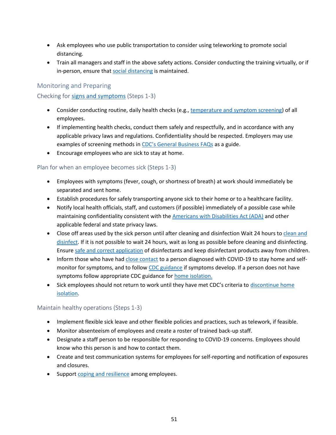- Ask employees who use public transportation to consider using teleworking to promote social distancing.
- Train all managers and staff in the above safety actions. Consider conducting the training virtually, or if in-person, ensure that [social distancing](https://www.cdc.gov/coronavirus/2019-ncov/prevent-getting-sick/social-distancing.html) is maintained.

# Monitoring and Preparing

### Checking for [signs and symptoms](https://www.cdc.gov/coronavirus/2019-ncov/symptoms-testing/symptoms.html?CDC_AA_refVal=https%3A%2F%2Fwww.cdc.gov%2Fcoronavirus%2F2019-ncov%2Fabout%2Fsymptoms.html) (Steps 1-3)

- Consider conducting routine, daily health checks (e.g., [temperature and symptom screening\)](https://www.cdc.gov/coronavirus/2019-ncov/community/general-business-faq.html#Reducing-the-Spread-of-COVID-19-in-Workplaces) of all employees.
- If implementing health checks, conduct them safely and respectfully, and in accordance with any applicable privacy laws and regulations. Confidentiality should be respected. Employers may use examples of screening methods in [CDC's General Business FAQs](https://www.cdc.gov/coronavirus/2019-ncov/community/general-business-faq.html) as a guide.
- Encourage employees who are sick to stay at home.

### Plan for when an employee becomes sick (Steps 1-3)

- Employees with symptoms (fever, cough, or shortness of breath) at work should immediately be separated and sent home.
- Establish procedures for safely transporting anyone sick to their home or to a healthcare facility.
- Notify local health officials, staff, and customers (if possible) immediately of a possible case while maintaining confidentiality consistent with the **Americans with Disabilities Act (ADA)** and other applicable federal and state privacy laws.
- Close off areas used by the sick person until after cleaning and disinfection Wait 24 hours t[o clean and](https://www.cdc.gov/coronavirus/2019-ncov/community/disinfecting-building-facility.html)  [disinfect.](https://www.cdc.gov/coronavirus/2019-ncov/community/disinfecting-building-facility.html) If it is not possible to wait 24 hours, wait as long as possible before cleaning and disinfecting. Ensur[e safe and correct application](https://www.cdc.gov/coronavirus/2019-ncov/community/disinfecting-building-facility.html) of disinfectants and keep disinfectant products away from children.
- Inform those who have had [close contact](https://www.cdc.gov/coronavirus/2019-ncov/php/public-health-recommendations.html) to a person diagnosed with COVID-19 to stay home and selfmonitor for symptoms, and to follow [CDC guidance](https://www.cdc.gov/coronavirus/2019-ncov/if-you-are-sick/steps-when-sick.html) if symptoms develop. If a person does not have symptoms follow appropriate CDC guidance fo[r home isolation.](https://www.cdc.gov/coronavirus/2019-ncov/php/public-health-recommendations.html)
- Sick employees should not return to work until they have met CDC's criteria to [discontinue home](https://www.cdc.gov/coronavirus/2019-ncov/if-you-are-sick/steps-when-sick.html)  [isolation.](https://www.cdc.gov/coronavirus/2019-ncov/if-you-are-sick/steps-when-sick.html)

### Maintain healthy operations (Steps 1-3)

- Implement flexible sick leave and other flexible policies and practices, such as telework, if feasible.
- Monitor absenteeism of employees and create a roster of trained back-up staff.
- Designate a staff person to be responsible for responding to COVID-19 concerns. Employees should know who this person is and how to contact them.
- Create and test communication systems for employees for self-reporting and notification of exposures and closures.
- Suppor[t coping and resilience](https://www.cdc.gov/coronavirus/2019-ncov/daily-life-coping/managing-stress-anxiety.html) among employees.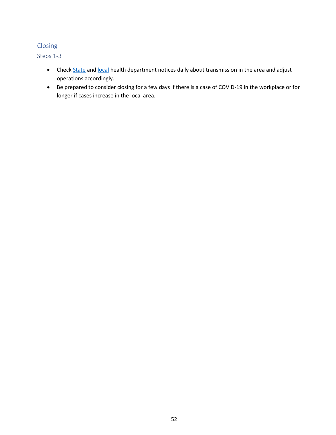# Closing

Steps 1-3

- Check [State](https://www.cdc.gov/publichealthgateway/healthdirectories/healthdepartments.html) an[d local](https://www.naccho.org/membership/lhd-directory) health department notices daily about transmission in the area and adjust operations accordingly.
- Be prepared to consider closing for a few days if there is a case of COVID-19 in the workplace or for longer if cases increase in the local area.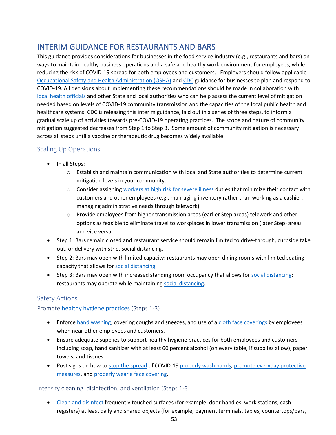# INTERIM GUIDANCE FOR RESTAURANTS AND BARS

This guidance provides considerations for businesses in the food service industry (e.g., restaurants and bars) on ways to maintain healthy business operations and a safe and healthy work environment for employees, while reducing the risk of COVID-19 spread for both employees and customers. Employers should follow applicabl[e](https://www.osha.gov/SLTC/covid-19/) [Occupational Safety and Health Administration \(OSHA\)](https://www.osha.gov/SLTC/covid-19/) and [CDC](https://www.cdc.gov/coronavirus/2019-ncov/community/organizations/businesses-employers.html) guidance for businesses to plan and respond to COVID-19. All decisions about implementing these recommendations should be made in collaboration with [local health officials](https://www.cdc.gov/publichealthgateway/healthdirectories/index.html) and other State and local authorities who can help assess the current level of mitigation needed based on levels of COVID-19 community transmission and the capacities of the local public health and healthcare systems. CDC is releasing this interim guidance, laid out in a series of three steps, to inform a gradual scale up of activities towards pre-COVID-19 operating practices. The scope and nature of community mitigation suggested decreases from Step 1 to Step 3. Some amount of community mitigation is necessary across all steps until a vaccine or therapeutic drug becomes widely available.

# Scaling Up Operations

- In all Steps:
	- $\circ$  Establish and maintain communication with local and State authorities to determine current mitigation levels in your community.
	- o Consider assignin[g workers at high risk for severe illness d](https://www.cdc.gov/coronavirus/2019-ncov/need-extra-precautions/people-at-higher-risk.html)uties that minimize their contact with customers and other employees (e.g., man-aging inventory rather than working as a cashier, managing administrative needs through telework).
	- o Provide employees from higher transmission areas (earlier Step areas) telework and other options as feasible to eliminate travel to workplaces in lower transmission (later Step) areas and vice versa.
- Step 1: Bars remain closed and restaurant service should remain limited to drive-through, curbside take out, or delivery with strict social distancing.
- Step 2: Bars may open with limited capacity; restaurants may open dining rooms with limited seating capacity that allows for [social distancing.](https://www.cdc.gov/coronavirus/2019-ncov/prevent-getting-sick/social-distancing.html)
- Step 3: Bars may open with increased standing room occupancy that allows for [social distancing;](https://www.cdc.gov/coronavirus/2019-ncov/prevent-getting-sick/social-distancing.html) restaurants may operate while maintaining [social distancing.](https://www.cdc.gov/coronavirus/2019-ncov/prevent-getting-sick/social-distancing.html)

# Safety Actions

# Promote [healthy hygiene practices](https://www.cdc.gov/coronavirus/2019-ncov/prevent-getting-sick/prevention.html) (Steps 1-3)

- Enforce [hand washing,](https://www.cdc.gov/handwashing/when-how-handwashing.html) covering coughs and sneezes, and use of a [cloth face coverings](https://www.cdc.gov/coronavirus/2019-ncov/prevent-getting-sick/diy-cloth-face-coverings.html) by employees when near other employees and customers.
- Ensure adequate supplies to support healthy hygiene practices for both employees and customers including soap, hand sanitizer with at least 60 percent alcohol (on every table, if supplies allow), paper towels, and tissues.
- Post signs on how to [stop the spread](https://www.cdc.gov/coronavirus/2019-ncov/downloads/stop-the-spread-of-germs-11x17-en.pdf) of COVID-19 [properly wash hands,](https://www.cdc.gov/handwashing/posters.html) promote everyday protective [measures,](https://www.cdc.gov/coronavirus/2019-ncov/prevent-getting-sick/prevention-H.pdf) an[d properly wear a face covering.](https://www.cdc.gov/coronavirus/2019-ncov/downloads/cloth-face-covering.pdf)

# Intensify cleaning, disinfection, and ventilation (Steps 1-3)

• [Clean and disinfect](https://www.cdc.gov/coronavirus/2019-ncov/community/disinfecting-building-facility.html) frequently touched surfaces (for example, door handles, work stations, cash registers) at least daily and shared objects (for example, payment terminals, tables, countertops/bars,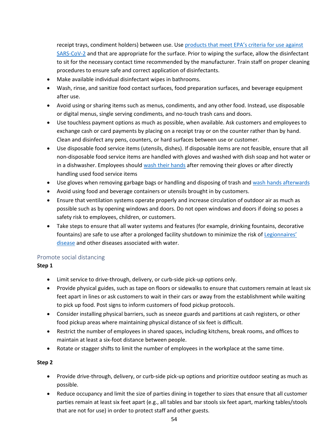receipt trays, condiment holders) between use. Use products that meet EPA's criteria for use against [SARS-CoV-2](https://www.epa.gov/pesticide-registration/list-n-disinfectants-use-against-sars-cov-2) and that are appropriate for the surface. Prior to wiping the surface, allow the disinfectant to sit for the necessary contact time recommended by the manufacturer. Train staff on proper cleaning procedures to ensure safe and correct application of disinfectants.

- Make available individual disinfectant wipes in bathrooms.
- Wash, rinse, and sanitize food contact surfaces, food preparation surfaces, and beverage equipment after use.
- Avoid using or sharing items such as menus, condiments, and any other food. Instead, use disposable or digital menus, single serving condiments, and no-touch trash cans and doors.
- Use touchless payment options as much as possible, when available. Ask customers and employees to exchange cash or card payments by placing on a receipt tray or on the counter rather than by hand. Clean and disinfect any pens, counters, or hard surfaces between use or customer.
- Use disposable food service items (utensils, dishes). If disposable items are not feasible, ensure that all non-disposable food service items are handled with gloves and washed with dish soap and hot water or in a dishwasher. Employees shoul[d wash their hands](https://www.cdc.gov/handwashing/when-how-handwashing.html) after removing their gloves or after directly handling used food service items
- Use gloves when removing garbage bags or handling and disposing of trash an[d wash hands afterwards](https://www.cdc.gov/handwashing/when-how-handwashing.html)
- Avoid using food and beverage containers or utensils brought in by customers.
- Ensure that ventilation systems operate properly and increase circulation of outdoor air as much as possible such as by opening windows and doors. Do not open windows and doors if doing so poses a safety risk to employees, children, or customers.
- Take steps to ensure that all water systems and features (for example, drinking fountains, decorative fountains) are safe to use after a prolonged facility shutdown to minimize the risk of [Legionnaires'](https://www.cdc.gov/legionella/wmp/index.html)  [disease](https://www.cdc.gov/legionella/wmp/index.html) and other diseases associated with water.

### Promote social distancing

### **Step 1**

- Limit service to drive-through, delivery, or curb-side pick-up options only.
- Provide physical guides, such as tape on floors or sidewalks to ensure that customers remain at least six feet apart in lines or ask customers to wait in their cars or away from the establishment while waiting to pick up food. Post signs to inform customers of food pickup protocols.
- Consider installing physical barriers, such as sneeze guards and partitions at cash registers, or other food pickup areas where maintaining physical distance of six feet is difficult.
- Restrict the number of employees in shared spaces, including kitchens, break rooms, and offices to maintain at least a six-foot distance between people.
- Rotate or stagger shifts to limit the number of employees in the workplace at the same time.

### **Step 2**

- Provide drive-through, delivery, or curb-side pick-up options and prioritize outdoor seating as much as possible.
- Reduce occupancy and limit the size of parties dining in together to sizes that ensure that all customer parties remain at least six feet apart (e.g., all tables and bar stools six feet apart, marking tables/stools that are not for use) in order to protect staff and other guests.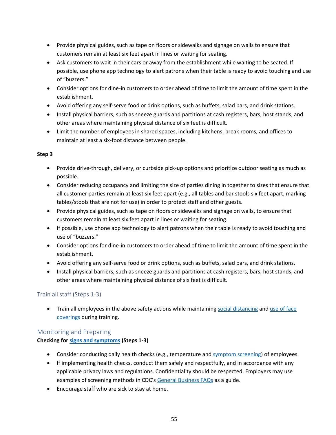- Provide physical guides, such as tape on floors or sidewalks and signage on walls to ensure that customers remain at least six feet apart in lines or waiting for seating.
- Ask customers to wait in their cars or away from the establishment while waiting to be seated. If possible, use phone app technology to alert patrons when their table is ready to avoid touching and use of "buzzers."
- Consider options for dine-in customers to order ahead of time to limit the amount of time spent in the establishment.
- Avoid offering any self-serve food or drink options, such as buffets, salad bars, and drink stations.
- Install physical barriers, such as sneeze guards and partitions at cash registers, bars, host stands, and other areas where maintaining physical distance of six feet is difficult.
- Limit the number of employees in shared spaces, including kitchens, break rooms, and offices to maintain at least a six-foot distance between people.

### **Step 3**

- Provide drive-through, delivery, or curbside pick-up options and prioritize outdoor seating as much as possible.
- Consider reducing occupancy and limiting the size of parties dining in together to sizes that ensure that all customer parties remain at least six feet apart (e.g., all tables and bar stools six feet apart, marking tables/stools that are not for use) in order to protect staff and other guests.
- Provide physical guides, such as tape on floors or sidewalks and signage on walls, to ensure that customers remain at least six feet apart in lines or waiting for seating.
- If possible, use phone app technology to alert patrons when their table is ready to avoid touching and use of "buzzers."
- Consider options for dine-in customers to order ahead of time to limit the amount of time spent in the establishment.
- Avoid offering any self-serve food or drink options, such as buffets, salad bars, and drink stations.
- Install physical barriers, such as sneeze guards and partitions at cash registers, bars, host stands, and other areas where maintaining physical distance of six feet is difficult.

# Train all staff (Steps 1-3)

• Train all employees in the above safety actions while maintaining [social distancing](https://www.cdc.gov/coronavirus/2019-ncov/prevent-getting-sick/social-distancing.html) and use of face [coverings](https://www.cdc.gov/coronavirus/2019-ncov/prevent-getting-sick/diy-cloth-face-coverings.html) during training.

# Monitoring and Preparing

# **Checking fo[r signs and symptoms](https://www.cdc.gov/coronavirus/2019-ncov/symptoms-testing/symptoms.html?CDC_AA_refVal=https%3A%2F%2Fwww.cdc.gov%2Fcoronavirus%2F2019-ncov%2Fabout%2Fsymptoms.html) (Steps 1-3)**

- Consider conducting daily health checks (e.g., temperature and [symptom screening\)](https://www.cdc.gov/coronavirus/2019-ncov/community/general-business-faq.html#Reducing-the-Spread-of-COVID-19-in-Workplaces) of employees.
- If implementing health checks, conduct them safely and respectfully, and in accordance with any applicable privacy laws and regulations. Confidentiality should be respected. Employers may use examples of screening methods in CDC's [General Business FAQs](https://www.cdc.gov/coronavirus/2019-ncov/community/general-business-faq.html) as a guide.
- Encourage staff who are sick to stay at home.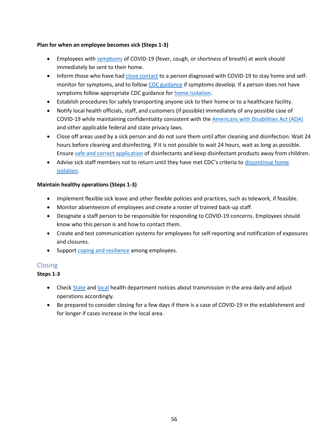### **Plan for when an employee becomes sick (Steps 1-3)**

- Employees with [symptoms](https://www.cdc.gov/coronavirus/2019-ncov/symptoms-testing/symptoms.html?CDC_AA_refVal=https%3A%2F%2Fwww.cdc.gov%2Fcoronavirus%2F2019-ncov%2Fabout%2Fsymptoms.html) of COVID-19 (fever, cough, or shortness of breath) at work should immediately be sent to their home.
- Inform those who have had [close contact](https://www.cdc.gov/coronavirus/2019-ncov/php/public-health-recommendations.html) to a person diagnosed with COVID-19 to stay home and self-monitor for symptoms, and to follow [CDC guidance](https://www.cdc.gov/coronavirus/2019-ncov/if-you-are-sick/steps-when-sick.html) if symptoms develop. If a person does not have symptoms follow appropriate CDC guidance fo[r home isolation.](https://www.cdc.gov/coronavirus/2019-ncov/php/public-health-recommendations.html)
- Establish procedures for safely transporting anyone sick to their home or to a healthcare facility.
- Notify local health officials, staff, and customers (if possible) immediately of any possible case of COVID-19 while maintaining confidentiality consistent with th[e Americans with Disabilities Act \(ADA\)](https://www.eeoc.gov/facts/pandemic_flu.html) and other applicable federal and state privacy laws.
- Close off areas used by a sick person and do not sure them until after cleaning and disinfection. Wait 24 hours before cleaning and disinfecting. If it is not possible to wait 24 hours, wait as long as possible. Ensur[e safe and correct application](https://www.cdc.gov/coronavirus/2019-ncov/community/disinfecting-building-facility.html) of disinfectants and keep disinfectant products away from children.
- Advise sick staff members not to return until they have met CDC's criteria to discontinue home [isolation.](https://www.cdc.gov/coronavirus/2019-ncov/if-you-are-sick/steps-when-sick.html)

### **Maintain healthy operations (Steps 1-3)**

- Implement flexible sick leave and other flexible policies and practices, such as telework, if feasible.
- Monitor absenteeism of employees and create a roster of trained back-up staff.
- Designate a staff person to be responsible for responding to COVID-19 concerns. Employees should know who this person is and how to contact them.
- Create and test communication systems for employees for self-reporting and notification of exposures and closures.
- Suppor[t coping and resilience](https://www.cdc.gov/coronavirus/2019-ncov/daily-life-coping/managing-stress-anxiety.html) among employees.

# **Closing**

### **Steps 1-3**

- Check [State](https://www.cdc.gov/publichealthgateway/healthdirectories/healthdepartments.html) an[d local](https://www.naccho.org/membership/lhd-directory) health department notices about transmission in the area daily and adjust operations accordingly.
- Be prepared to consider closing for a few days if there is a case of COVID-19 in the establishment and for longer if cases increase in the local area.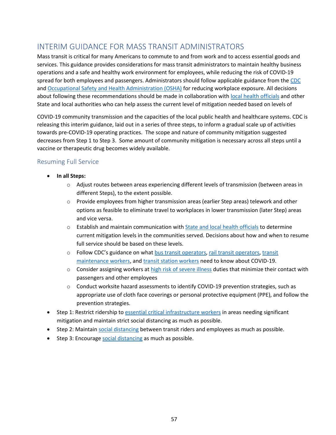# INTERIM GUIDANCE FOR MASS TRANSIT ADMINISTRATORS

Mass transit is critical for many Americans to commute to and from work and to access essential goods and services. This guidance provides considerations for mass transit administrators to maintain healthy business operations and a safe and healthy work environment for employees, while reducing the risk of COVID-19 spread for both employees and passengers. Administrators should follow applicable guidance from the [CDC](https://www.cdc.gov/coronavirus/2019-ncov/community/organizations/businesses-employers.html) and [Occupational Safety and Health Administration \(OSHA\)](https://www.osha.gov/SLTC/covid-19/) for reducing workplace exposure. All decisions about following these recommendations should be made in collaboration with [local health officials](https://www.cdc.gov/publichealthgateway/healthdirectories/index.html) and other State and local authorities who can help assess the current level of mitigation needed based on levels of

COVID-19 community transmission and the capacities of the local public health and healthcare systems. CDC is releasing this interim guidance, laid out in a series of three steps, to inform a gradual scale up of activities towards pre-COVID-19 operating practices. The scope and nature of community mitigation suggested decreases from Step 1 to Step 3. Some amount of community mitigation is necessary across all steps until a vaccine or therapeutic drug becomes widely available.

# Resuming Full Service

- **In all Steps:**
	- o Adjust routes between areas experiencing different levels of transmission (between areas in different Steps), to the extent possible.
	- $\circ$  Provide employees from higher transmission areas (earlier Step areas) telework and other options as feasible to eliminate travel to workplaces in lower transmission (later Step) areas and vice versa.
	- o Establish and maintain communication wit[h State and local health officials](https://www.cdc.gov/publichealthgateway/healthdirectories/index.html) to determine current mitigation levels in the communities served. Decisions about how and when to resume full service should be based on these levels.
	- o Follow CDC's guidance on what [bus transit operators,](https://www.cdc.gov/coronavirus/2019-ncov/community/organizations/bus-transit-operator.html) [rail transit operators,](https://www.cdc.gov/coronavirus/2019-ncov/community/organizations/rail-transit-operator.html) transit [maintenance workers,](https://www.cdc.gov/coronavirus/2019-ncov/community/organizations/transit-maintenance-worker.html) and [transit station workers](https://www.cdc.gov/coronavirus/2019-ncov/community/organizations/transit-station-workers.html) need to know about COVID-19.
	- $\circ$  Consider assigning workers a[t high risk of severe illness](https://www.cdc.gov/coronavirus/2019-ncov/need-extra-precautions/people-at-higher-risk.html) duties that minimize their contact with passengers and other employees
	- o Conduct worksite hazard assessments to identify COVID-19 prevention strategies, such as appropriate use of cloth face coverings or personal protective equipment (PPE), and follow the prevention strategies.
- Step 1: Restrict ridership to [essential critical infrastructure workers](https://www.cisa.gov/identifying-critical-infrastructure-during-covid-19) in areas needing significant mitigation and maintain strict social distancing as much as possible.
- Step 2: Maintai[n social distancing](https://www.cdc.gov/coronavirus/2019-ncov/prevent-getting-sick/social-distancing.html) between transit riders and employees as much as possible.
- Step 3: Encourag[e social distancing](https://www.cdc.gov/coronavirus/2019-ncov/prevent-getting-sick/social-distancing.html) as much as possible.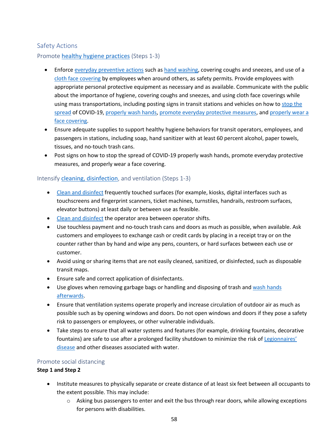# Safety Actions

### Promote [healthy hygiene practices](https://www.cdc.gov/coronavirus/2019-ncov/prevent-getting-sick/prevention.html) (Steps 1-3)

- Enforce [everyday preventive actions](https://www.cdc.gov/coronavirus/2019-ncov/prevent-getting-sick/prevention.html) such as [hand washing,](https://www.cdc.gov/handwashing/when-how-handwashing.html) covering coughs and sneezes, and use of a [cloth face covering](https://www.cdc.gov/coronavirus/2019-ncov/prevent-getting-sick/diy-cloth-face-coverings.html) by employees when around others, as safety permits. Provide employees with appropriate personal protective equipment as necessary and as available. Communicate with the public about the importance of hygiene, covering coughs and sneezes, and using cloth face coverings while using mass transportations, including posting signs in transit stations and vehicles on how t[o stop the](https://www.cdc.gov/coronavirus/2019-ncov/downloads/stop-the-spread-of-germs-11x17-en.pdf)  [spread](https://www.cdc.gov/coronavirus/2019-ncov/downloads/stop-the-spread-of-germs-11x17-en.pdf) of COVID-19, [properly wash hands,](https://www.cdc.gov/handwashing/posters.html) [promote everyday protective measures,](https://www.cdc.gov/coronavirus/2019-ncov/prevent-getting-sick/prevention-H.pdf) an[d properly wear a](https://www.cdc.gov/coronavirus/2019-ncov/images/face-covering-checklist.jpg)  [face covering.](https://www.cdc.gov/coronavirus/2019-ncov/images/face-covering-checklist.jpg)
- Ensure adequate supplies to support healthy hygiene behaviors for transit operators, employees, and passengers in stations, including soap, hand sanitizer with at least 60 percent alcohol, paper towels, tissues, and no-touch trash cans.
- Post signs on how to stop the spread of COVID-19 properly wash hands, promote everyday protective measures, and properly wear a face covering.

# Intensify *cleaning*, *disinfection*, and ventilation (Steps 1-3)

- [Clean and disinfect](https://www.cdc.gov/coronavirus/2019-ncov/community/disinfecting-building-facility.html) frequently touched surfaces (for example, kiosks, digital interfaces such as touchscreens and fingerprint scanners, ticket machines, turnstiles, handrails, restroom surfaces, elevator buttons) at least daily or between use as feasible.
- [Clean and disinfect](https://www.cdc.gov/coronavirus/2019-ncov/community/disinfecting-building-facility.html) the operator area between operator shifts.
- Use touchless payment and no-touch trash cans and doors as much as possible, when available. Ask customers and employees to exchange cash or credit cards by placing in a receipt tray or on the counter rather than by hand and wipe any pens, counters, or hard surfaces between each use or customer.
- Avoid using or sharing items that are not easily cleaned, sanitized, or disinfected, such as disposable transit maps.
- Ensure safe and correct application of disinfectants.
- Use gloves when removing garbage bags or handling and disposing of trash an[d wash hands](https://www.cdc.gov/handwashing/when-how-handwashing.html)  [afterwards.](https://www.cdc.gov/handwashing/when-how-handwashing.html)
- Ensure that ventilation systems operate properly and increase circulation of outdoor air as much as possible such as by opening windows and doors. Do not open windows and doors if they pose a safety risk to passengers or employees, or other vulnerable individuals.
- Take steps to ensure that all water systems and features (for example, drinking fountains, decorative fountains) are safe to use after a prolonged facility shutdown to minimize the risk of [Legionnaires'](https://www.cdc.gov/legionella/wmp/index.html)  [disease](https://www.cdc.gov/legionella/wmp/index.html) and other diseases associated with water.

### Promote social distancing

### **Step 1 and Step 2**

- Institute measures to physically separate or create distance of at least six feet between all occupants to the extent possible. This may include:
	- $\circ$  Asking bus passengers to enter and exit the bus through rear doors, while allowing exceptions for persons with disabilities.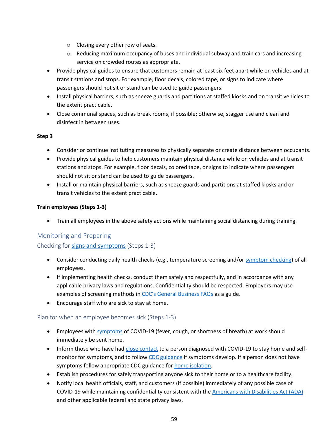- o Closing every other row of seats.
- $\circ$  Reducing maximum occupancy of buses and individual subway and train cars and increasing service on crowded routes as appropriate.
- Provide physical guides to ensure that customers remain at least six feet apart while on vehicles and at transit stations and stops. For example, floor decals, colored tape, or signs to indicate where passengers should not sit or stand can be used to guide passengers.
- Install physical barriers, such as sneeze guards and partitions at staffed kiosks and on transit vehicles to the extent practicable.
- Close communal spaces, such as break rooms, if possible; otherwise, stagger use and clean and disinfect in between uses.

### **Step 3**

- Consider or continue instituting measures to physically separate or create distance between occupants.
- Provide physical guides to help customers maintain physical distance while on vehicles and at transit stations and stops. For example, floor decals, colored tape, or signs to indicate where passengers should not sit or stand can be used to guide passengers.
- Install or maintain physical barriers, such as sneeze guards and partitions at staffed kiosks and on transit vehicles to the extent practicable.

### **Train employees (Steps 1-3)**

• Train all employees in the above safety actions while maintaining social distancing during training.

# Monitoring and Preparing

# Checking for [signs and symptoms](https://www.cdc.gov/coronavirus/2019-ncov/symptoms-testing/symptoms.html) (Steps 1-3)

- Consider conducting daily health checks (e.g., temperature screening and/o[r symptom checking\)](https://www.cdc.gov/coronavirus/2019-ncov/symptoms-testing/symptoms.html?CDC_AA_refVal=https%3A%2F%2Fwww.cdc.gov%2Fcoronavirus%2F2019-ncov%2Fabout%2Fsymptoms.html) of all employees.
- If implementing health checks, conduct them safely and respectfully, and in accordance with any applicable privacy laws and regulations. Confidentiality should be respected. Employers may use examples of screening methods in [CDC's General Business FAQs](https://www.cdc.gov/coronavirus/2019-ncov/community/general-business-faq.html) as a guide.
- Encourage staff who are sick to stay at home.

### Plan for when an employee becomes sick (Steps 1-3)

- Employees with [symptoms](https://www.cdc.gov/coronavirus/2019-ncov/symptoms-testing/symptoms.html?CDC_AA_refVal=https%3A%2F%2Fwww.cdc.gov%2Fcoronavirus%2F2019-ncov%2Fabout%2Fsymptoms.html) of COVID-19 (fever, cough, or shortness of breath) at work should immediately be sent home.
- Inform those who have had [close contact](https://www.cdc.gov/coronavirus/2019-ncov/php/public-health-recommendations.html) to a person diagnosed with COVID-19 to stay home and selfmonitor for symptoms, and to follow [CDC guidance](https://www.cdc.gov/coronavirus/2019-ncov/if-you-are-sick/steps-when-sick.html) if symptoms develop. If a person does not have symptoms follow appropriate CDC guidance fo[r home isolation.](https://www.cdc.gov/coronavirus/2019-ncov/php/public-health-recommendations.html)
- Establish procedures for safely transporting anyone sick to their home or to a healthcare facility.
- Notify local health officials, staff, and customers (if possible) immediately of any possible case of COVID-19 while maintaining confidentiality consistent with th[e Americans with Disabilities Act \(ADA\)](https://www.eeoc.gov/facts/pandemic_flu.html) and other applicable federal and state privacy laws.